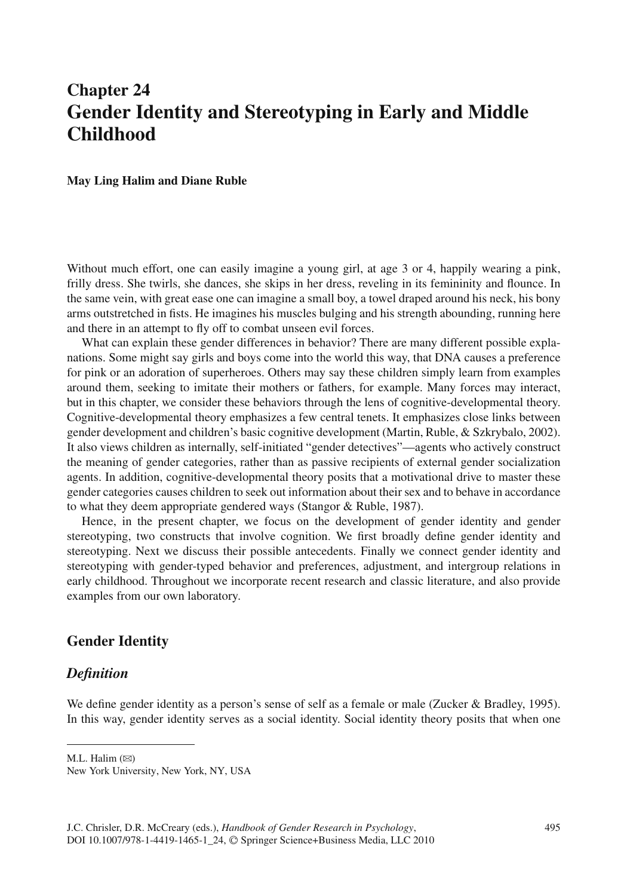# **Chapter 24 Gender Identity and Stereotyping in Early and Middle Childhood**

**May Ling Halim and Diane Ruble**

Without much effort, one can easily imagine a young girl, at age 3 or 4, happily wearing a pink, frilly dress. She twirls, she dances, she skips in her dress, reveling in its femininity and flounce. In the same vein, with great ease one can imagine a small boy, a towel draped around his neck, his bony arms outstretched in fists. He imagines his muscles bulging and his strength abounding, running here and there in an attempt to fly off to combat unseen evil forces.

What can explain these gender differences in behavior? There are many different possible explanations. Some might say girls and boys come into the world this way, that DNA causes a preference for pink or an adoration of superheroes. Others may say these children simply learn from examples around them, seeking to imitate their mothers or fathers, for example. Many forces may interact, but in this chapter, we consider these behaviors through the lens of cognitive-developmental theory. Cognitive-developmental theory emphasizes a few central tenets. It emphasizes close links between gender development and children's basic cognitive development (Martin, Ruble, & Szkrybalo, [2002\)](#page-27-0). It also views children as internally, self-initiated "gender detectives"—agents who actively construct the meaning of gender categories, rather than as passive recipients of external gender socialization agents. In addition, cognitive-developmental theory posits that a motivational drive to master these gender categories causes children to seek out information about their sex and to behave in accordance to what they deem appropriate gendered ways (Stangor & Ruble, [1987\)](#page-29-0).

Hence, in the present chapter, we focus on the development of gender identity and gender stereotyping, two constructs that involve cognition. We first broadly define gender identity and stereotyping. Next we discuss their possible antecedents. Finally we connect gender identity and stereotyping with gender-typed behavior and preferences, adjustment, and intergroup relations in early childhood. Throughout we incorporate recent research and classic literature, and also provide examples from our own laboratory.

# **Gender Identity**

# *Definition*

We define gender identity as a person's sense of self as a female or male (Zucker & Bradley, [1995\)](#page-30-0). In this way, gender identity serves as a social identity. Social identity theory posits that when one

 $M.L.$  Halim  $(\boxtimes)$ 

New York University, New York, NY, USA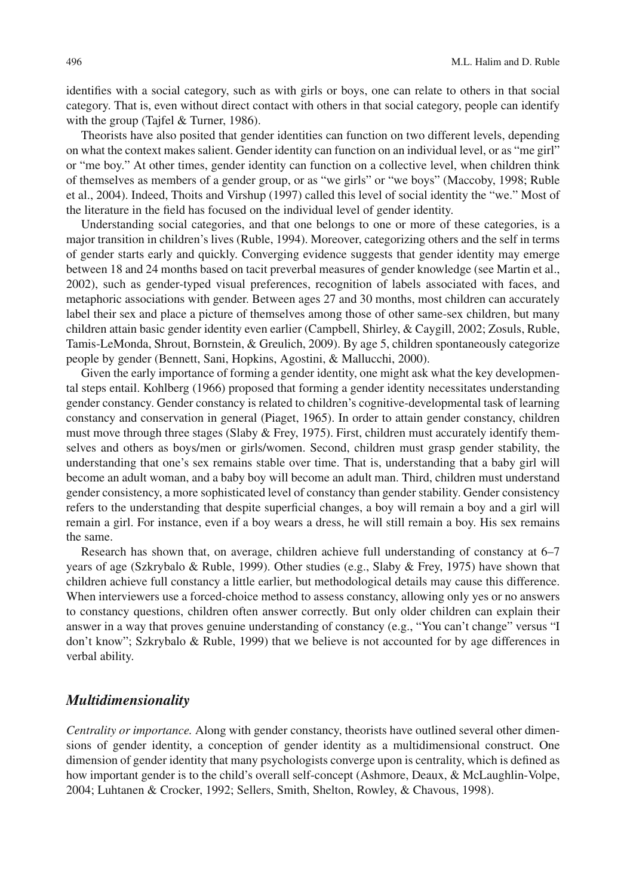identifies with a social category, such as with girls or boys, one can relate to others in that social category. That is, even without direct contact with others in that social category, people can identify with the group (Tajfel & Turner, [1986\)](#page-29-1).

Theorists have also posited that gender identities can function on two different levels, depending on what the context makes salient. Gender identity can function on an individual level, or as "me girl" or "me boy." At other times, gender identity can function on a collective level, when children think of themselves as members of a gender group, or as "we girls" or "we boys" (Maccoby, [1998;](#page-26-0) Ruble et al., [2004\)](#page-28-0). Indeed, Thoits and Virshup [\(1997\)](#page-29-2) called this level of social identity the "we." Most of the literature in the field has focused on the individual level of gender identity.

Understanding social categories, and that one belongs to one or more of these categories, is a major transition in children's lives (Ruble, [1994\)](#page-28-1). Moreover, categorizing others and the self in terms of gender starts early and quickly. Converging evidence suggests that gender identity may emerge between 18 and 24 months based on tacit preverbal measures of gender knowledge (see Martin et al., [2002\)](#page-27-1), such as gender-typed visual preferences, recognition of labels associated with faces, and metaphoric associations with gender. Between ages 27 and 30 months, most children can accurately label their sex and place a picture of themselves among those of other same-sex children, but many children attain basic gender identity even earlier (Campbell, Shirley, & Caygill, [2002;](#page-24-0) Zosuls, Ruble, Tamis-LeMonda, Shrout, Bornstein, & Greulich, 2009). By age 5, children spontaneously categorize people by gender (Bennett, Sani, Hopkins, Agostini, & Mallucchi, [2000\)](#page-24-1).

Given the early importance of forming a gender identity, one might ask what the key developmental steps entail. Kohlberg [\(1966\)](#page-26-1) proposed that forming a gender identity necessitates understanding gender constancy. Gender constancy is related to children's cognitive-developmental task of learning constancy and conservation in general (Piaget, [1965\)](#page-28-2). In order to attain gender constancy, children must move through three stages (Slaby & Frey, [1975\)](#page-29-3). First, children must accurately identify themselves and others as boys/men or girls/women. Second, children must grasp gender stability, the understanding that one's sex remains stable over time. That is, understanding that a baby girl will become an adult woman, and a baby boy will become an adult man. Third, children must understand gender consistency, a more sophisticated level of constancy than gender stability. Gender consistency refers to the understanding that despite superficial changes, a boy will remain a boy and a girl will remain a girl. For instance, even if a boy wears a dress, he will still remain a boy. His sex remains the same.

Research has shown that, on average, children achieve full understanding of constancy at 6–7 years of age (Szkrybalo & Ruble, [1999\)](#page-29-4). Other studies (e.g., Slaby & Frey, [1975\)](#page-29-5) have shown that children achieve full constancy a little earlier, but methodological details may cause this difference. When interviewers use a forced-choice method to assess constancy, allowing only yes or no answers to constancy questions, children often answer correctly. But only older children can explain their answer in a way that proves genuine understanding of constancy (e.g., "You can't change" versus "I don't know"; Szkrybalo & Ruble, [1999\)](#page-29-1) that we believe is not accounted for by age differences in verbal ability.

#### *Multidimensionality*

*Centrality or importance.* Along with gender constancy, theorists have outlined several other dimensions of gender identity, a conception of gender identity as a multidimensional construct. One dimension of gender identity that many psychologists converge upon is centrality, which is defined as how important gender is to the child's overall self-concept (Ashmore, Deaux, & McLaughlin-Volpe, [2004;](#page-23-0) Luhtanen & Crocker, [1992;](#page-26-2) Sellers, Smith, Shelton, Rowley, & Chavous, [1998\)](#page-28-3).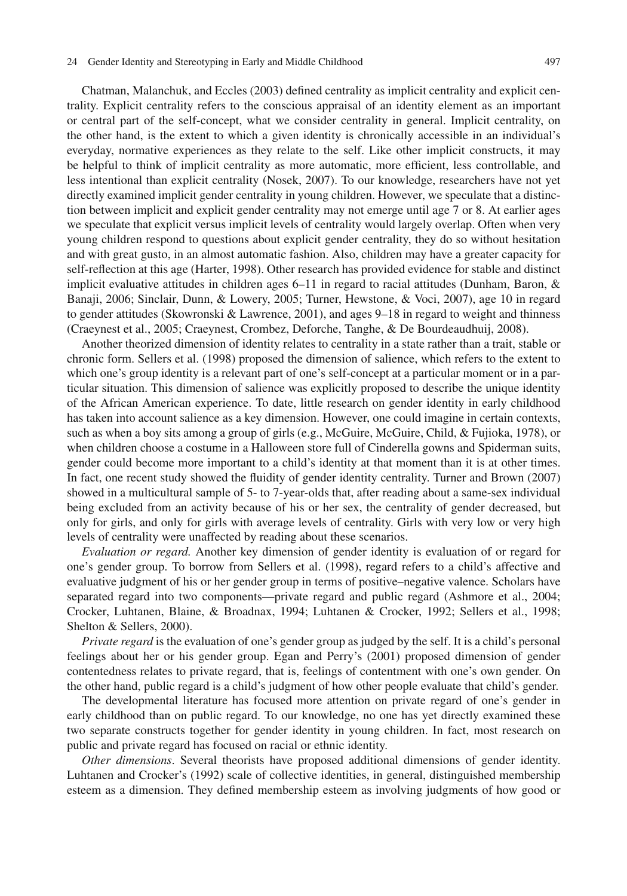#### 24 Gender Identity and Stereotyping in Early and Middle Childhood 497

Chatman, Malanchuk, and Eccles [\(2003\)](#page-24-2) defined centrality as implicit centrality and explicit centrality. Explicit centrality refers to the conscious appraisal of an identity element as an important or central part of the self-concept, what we consider centrality in general. Implicit centrality, on the other hand, is the extent to which a given identity is chronically accessible in an individual's everyday, normative experiences as they relate to the self. Like other implicit constructs, it may be helpful to think of implicit centrality as more automatic, more efficient, less controllable, and less intentional than explicit centrality (Nosek, [2007\)](#page-27-2). To our knowledge, researchers have not yet directly examined implicit gender centrality in young children. However, we speculate that a distinction between implicit and explicit gender centrality may not emerge until age 7 or 8. At earlier ages we speculate that explicit versus implicit levels of centrality would largely overlap. Often when very young children respond to questions about explicit gender centrality, they do so without hesitation and with great gusto, in an almost automatic fashion. Also, children may have a greater capacity for self-reflection at this age (Harter, [1998\)](#page-25-0). Other research has provided evidence for stable and distinct implicit evaluative attitudes in children ages  $6-11$  in regard to racial attitudes (Dunham, Baron,  $\&$ Banaji, [2006;](#page-23-1) Sinclair, Dunn, & Lowery, [2005;](#page-29-6) Turner, Hewstone, & Voci, [2007\)](#page-29-7), age 10 in regard to gender attitudes (Skowronski & Lawrence, [2001\)](#page-29-8), and ages 9–18 in regard to weight and thinness (Craeynest et al., [2005;](#page-24-3) Craeynest, Crombez, Deforche, Tanghe, & De Bourdeaudhuij, 2008).

Another theorized dimension of identity relates to centrality in a state rather than a trait, stable or chronic form. Sellers et al. [\(1998\)](#page-28-4) proposed the dimension of salience, which refers to the extent to which one's group identity is a relevant part of one's self-concept at a particular moment or in a particular situation. This dimension of salience was explicitly proposed to describe the unique identity of the African American experience. To date, little research on gender identity in early childhood has taken into account salience as a key dimension. However, one could imagine in certain contexts, such as when a boy sits among a group of girls (e.g., McGuire, McGuire, Child, & Fujioka, [1978\)](#page-27-3), or when children choose a costume in a Halloween store full of Cinderella gowns and Spiderman suits, gender could become more important to a child's identity at that moment than it is at other times. In fact, one recent study showed the fluidity of gender identity centrality. Turner and Brown [\(2007\)](#page-29-9) showed in a multicultural sample of 5- to 7-year-olds that, after reading about a same-sex individual being excluded from an activity because of his or her sex, the centrality of gender decreased, but only for girls, and only for girls with average levels of centrality. Girls with very low or very high levels of centrality were unaffected by reading about these scenarios.

*Evaluation or regard.* Another key dimension of gender identity is evaluation of or regard for one's gender group. To borrow from Sellers et al. [\(1998\)](#page-28-4), regard refers to a child's affective and evaluative judgment of his or her gender group in terms of positive–negative valence. Scholars have separated regard into two components—private regard and public regard (Ashmore et al., [2004;](#page-23-0) Crocker, Luhtanen, Blaine, & Broadnax, [1994;](#page-25-1) Luhtanen & Crocker, [1992;](#page-26-2) Sellers et al., [1998;](#page-28-4) Shelton & Sellers, [2000\)](#page-28-5).

*Private regard* is the evaluation of one's gender group as judged by the self. It is a child's personal feelings about her or his gender group. Egan and Perry's (2001) proposed dimension of gender contentedness relates to private regard, that is, feelings of contentment with one's own gender. On the other hand, public regard is a child's judgment of how other people evaluate that child's gender.

The developmental literature has focused more attention on private regard of one's gender in early childhood than on public regard. To our knowledge, no one has yet directly examined these two separate constructs together for gender identity in young children. In fact, most research on public and private regard has focused on racial or ethnic identity.

*Other dimensions*. Several theorists have proposed additional dimensions of gender identity. Luhtanen and Crocker's (1992) scale of collective identities, in general, distinguished membership esteem as a dimension. They defined membership esteem as involving judgments of how good or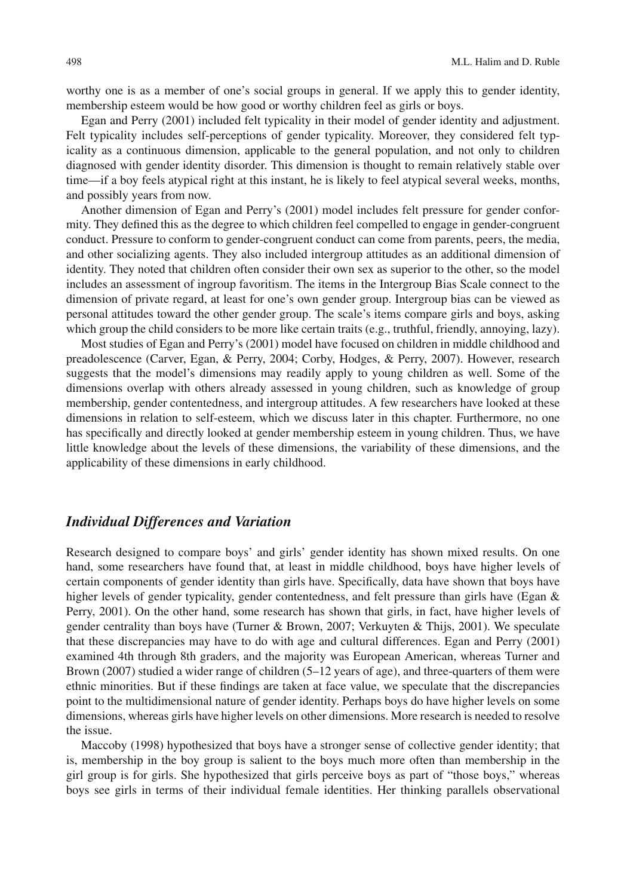worthy one is as a member of one's social groups in general. If we apply this to gender identity, membership esteem would be how good or worthy children feel as girls or boys.

Egan and Perry [\(2001\)](#page-25-2) included felt typicality in their model of gender identity and adjustment. Felt typicality includes self-perceptions of gender typicality. Moreover, they considered felt typicality as a continuous dimension, applicable to the general population, and not only to children diagnosed with gender identity disorder. This dimension is thought to remain relatively stable over time—if a boy feels atypical right at this instant, he is likely to feel atypical several weeks, months, and possibly years from now.

Another dimension of Egan and Perry's (2001) model includes felt pressure for gender conformity. They defined this as the degree to which children feel compelled to engage in gender-congruent conduct. Pressure to conform to gender-congruent conduct can come from parents, peers, the media, and other socializing agents. They also included intergroup attitudes as an additional dimension of identity. They noted that children often consider their own sex as superior to the other, so the model includes an assessment of ingroup favoritism. The items in the Intergroup Bias Scale connect to the dimension of private regard, at least for one's own gender group. Intergroup bias can be viewed as personal attitudes toward the other gender group. The scale's items compare girls and boys, asking which group the child considers to be more like certain traits (e.g., truthful, friendly, annoying, lazy).

Most studies of Egan and Perry's (2001) model have focused on children in middle childhood and preadolescence (Carver, Egan, & Perry, [2004;](#page-24-4) Corby, Hodges, & Perry, [2007\)](#page-24-5). However, research suggests that the model's dimensions may readily apply to young children as well. Some of the dimensions overlap with others already assessed in young children, such as knowledge of group membership, gender contentedness, and intergroup attitudes. A few researchers have looked at these dimensions in relation to self-esteem, which we discuss later in this chapter. Furthermore, no one has specifically and directly looked at gender membership esteem in young children. Thus, we have little knowledge about the levels of these dimensions, the variability of these dimensions, and the applicability of these dimensions in early childhood.

## *Individual Differences and Variation*

Research designed to compare boys' and girls' gender identity has shown mixed results. On one hand, some researchers have found that, at least in middle childhood, boys have higher levels of certain components of gender identity than girls have. Specifically, data have shown that boys have higher levels of gender typicality, gender contentedness, and felt pressure than girls have (Egan & Perry, [2001\)](#page-25-2). On the other hand, some research has shown that girls, in fact, have higher levels of gender centrality than boys have (Turner & Brown, [2007;](#page-29-9) Verkuyten & Thijs, [2001\)](#page-29-10). We speculate that these discrepancies may have to do with age and cultural differences. Egan and Perry [\(2001\)](#page-25-2) examined 4th through 8th graders, and the majority was European American, whereas Turner and Brown [\(2007\)](#page-29-9) studied a wider range of children (5–12 years of age), and three-quarters of them were ethnic minorities. But if these findings are taken at face value, we speculate that the discrepancies point to the multidimensional nature of gender identity. Perhaps boys do have higher levels on some dimensions, whereas girls have higher levels on other dimensions. More research is needed to resolve the issue.

Maccoby [\(1998\)](#page-26-0) hypothesized that boys have a stronger sense of collective gender identity; that is, membership in the boy group is salient to the boys much more often than membership in the girl group is for girls. She hypothesized that girls perceive boys as part of "those boys," whereas boys see girls in terms of their individual female identities. Her thinking parallels observational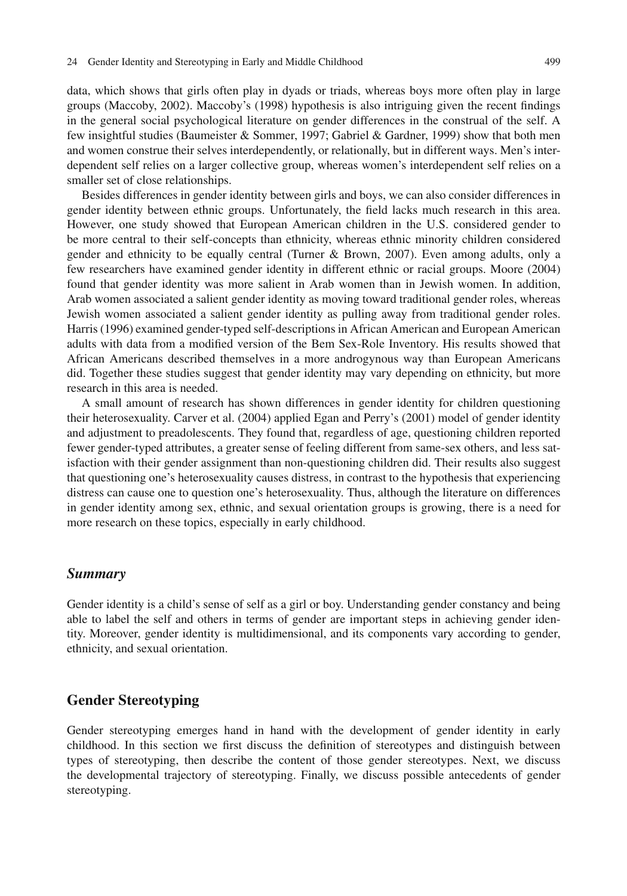data, which shows that girls often play in dyads or triads, whereas boys more often play in large groups (Maccoby, [2002\)](#page-26-3). Maccoby's (1998) hypothesis is also intriguing given the recent findings in the general social psychological literature on gender differences in the construal of the self. A few insightful studies (Baumeister & Sommer, [1997;](#page-23-2) Gabriel & Gardner, [1999\)](#page-25-3) show that both men and women construe their selves interdependently, or relationally, but in different ways. Men's interdependent self relies on a larger collective group, whereas women's interdependent self relies on a smaller set of close relationships.

Besides differences in gender identity between girls and boys, we can also consider differences in gender identity between ethnic groups. Unfortunately, the field lacks much research in this area. However, one study showed that European American children in the U.S. considered gender to be more central to their self-concepts than ethnicity, whereas ethnic minority children considered gender and ethnicity to be equally central (Turner & Brown, [2007\)](#page-29-11). Even among adults, only a few researchers have examined gender identity in different ethnic or racial groups. Moore [\(2004\)](#page-27-4) found that gender identity was more salient in Arab women than in Jewish women. In addition, Arab women associated a salient gender identity as moving toward traditional gender roles, whereas Jewish women associated a salient gender identity as pulling away from traditional gender roles. Harris [\(1996\)](#page-25-4) examined gender-typed self-descriptions in African American and European American adults with data from a modified version of the Bem Sex-Role Inventory. His results showed that African Americans described themselves in a more androgynous way than European Americans did. Together these studies suggest that gender identity may vary depending on ethnicity, but more research in this area is needed.

A small amount of research has shown differences in gender identity for children questioning their heterosexuality. Carver et al. [\(2004\)](#page-24-4) applied Egan and Perry's (2001) model of gender identity and adjustment to preadolescents. They found that, regardless of age, questioning children reported fewer gender-typed attributes, a greater sense of feeling different from same-sex others, and less satisfaction with their gender assignment than non-questioning children did. Their results also suggest that questioning one's heterosexuality causes distress, in contrast to the hypothesis that experiencing distress can cause one to question one's heterosexuality. Thus, although the literature on differences in gender identity among sex, ethnic, and sexual orientation groups is growing, there is a need for more research on these topics, especially in early childhood.

#### *Summary*

Gender identity is a child's sense of self as a girl or boy. Understanding gender constancy and being able to label the self and others in terms of gender are important steps in achieving gender identity. Moreover, gender identity is multidimensional, and its components vary according to gender, ethnicity, and sexual orientation.

# **Gender Stereotyping**

Gender stereotyping emerges hand in hand with the development of gender identity in early childhood. In this section we first discuss the definition of stereotypes and distinguish between types of stereotyping, then describe the content of those gender stereotypes. Next, we discuss the developmental trajectory of stereotyping. Finally, we discuss possible antecedents of gender stereotyping.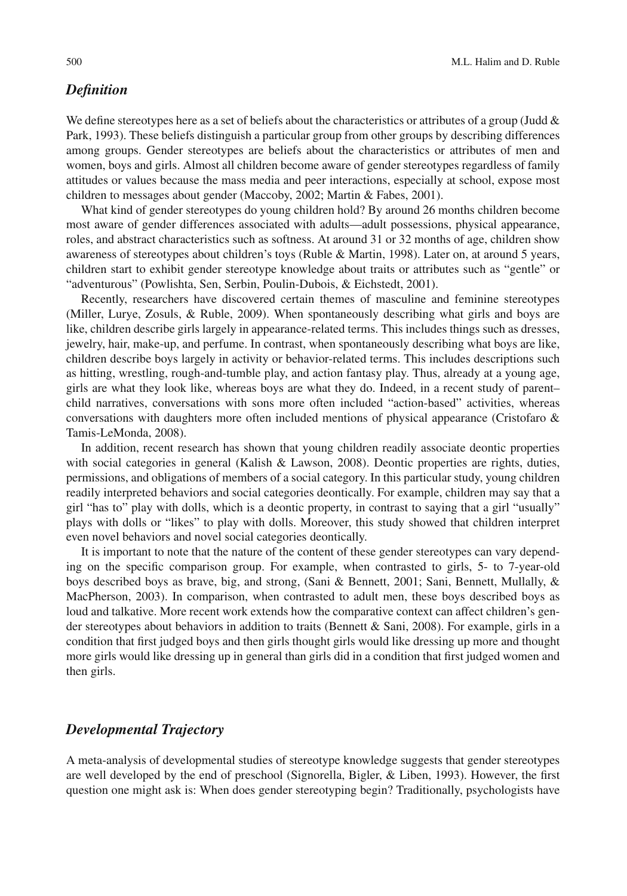# *Definition*

We define stereotypes here as a set of beliefs about the characteristics or attributes of a group (Judd  $\&$ Park, [1993\)](#page-26-4). These beliefs distinguish a particular group from other groups by describing differences among groups. Gender stereotypes are beliefs about the characteristics or attributes of men and women, boys and girls. Almost all children become aware of gender stereotypes regardless of family attitudes or values because the mass media and peer interactions, especially at school, expose most children to messages about gender (Maccoby, [2002;](#page-26-3) Martin & Fabes, [2001\)](#page-27-5).

What kind of gender stereotypes do young children hold? By around 26 months children become most aware of gender differences associated with adults—adult possessions, physical appearance, roles, and abstract characteristics such as softness. At around 31 or 32 months of age, children show awareness of stereotypes about children's toys (Ruble & Martin, [1998\)](#page-28-6). Later on, at around 5 years, children start to exhibit gender stereotype knowledge about traits or attributes such as "gentle" or "adventurous" (Powlishta, Sen, Serbin, Poulin-Dubois, & Eichstedt, [2001\)](#page-28-4).

Recently, researchers have discovered certain themes of masculine and feminine stereotypes (Miller, Lurye, Zosuls, & Ruble, 2009). When spontaneously describing what girls and boys are like, children describe girls largely in appearance-related terms. This includes things such as dresses, jewelry, hair, make-up, and perfume. In contrast, when spontaneously describing what boys are like, children describe boys largely in activity or behavior-related terms. This includes descriptions such as hitting, wrestling, rough-and-tumble play, and action fantasy play. Thus, already at a young age, girls are what they look like, whereas boys are what they do. Indeed, in a recent study of parent– child narratives, conversations with sons more often included "action-based" activities, whereas conversations with daughters more often included mentions of physical appearance (Cristofaro & Tamis-LeMonda, [2008\)](#page-24-6).

In addition, recent research has shown that young children readily associate deontic properties with social categories in general (Kalish & Lawson, [2008\)](#page-26-5). Deontic properties are rights, duties, permissions, and obligations of members of a social category. In this particular study, young children readily interpreted behaviors and social categories deontically. For example, children may say that a girl "has to" play with dolls, which is a deontic property, in contrast to saying that a girl "usually" plays with dolls or "likes" to play with dolls. Moreover, this study showed that children interpret even novel behaviors and novel social categories deontically.

It is important to note that the nature of the content of these gender stereotypes can vary depending on the specific comparison group. For example, when contrasted to girls, 5- to 7-year-old boys described boys as brave, big, and strong, (Sani & Bennett, [2001;](#page-28-7) Sani, Bennett, Mullally, & MacPherson, [2003\)](#page-28-8). In comparison, when contrasted to adult men, these boys described boys as loud and talkative. More recent work extends how the comparative context can affect children's gender stereotypes about behaviors in addition to traits (Bennett & Sani, [2008\)](#page-24-7). For example, girls in a condition that first judged boys and then girls thought girls would like dressing up more and thought more girls would like dressing up in general than girls did in a condition that first judged women and then girls.

# *Developmental Trajectory*

A meta-analysis of developmental studies of stereotype knowledge suggests that gender stereotypes are well developed by the end of preschool (Signorella, Bigler, & Liben, [1993\)](#page-29-12). However, the first question one might ask is: When does gender stereotyping begin? Traditionally, psychologists have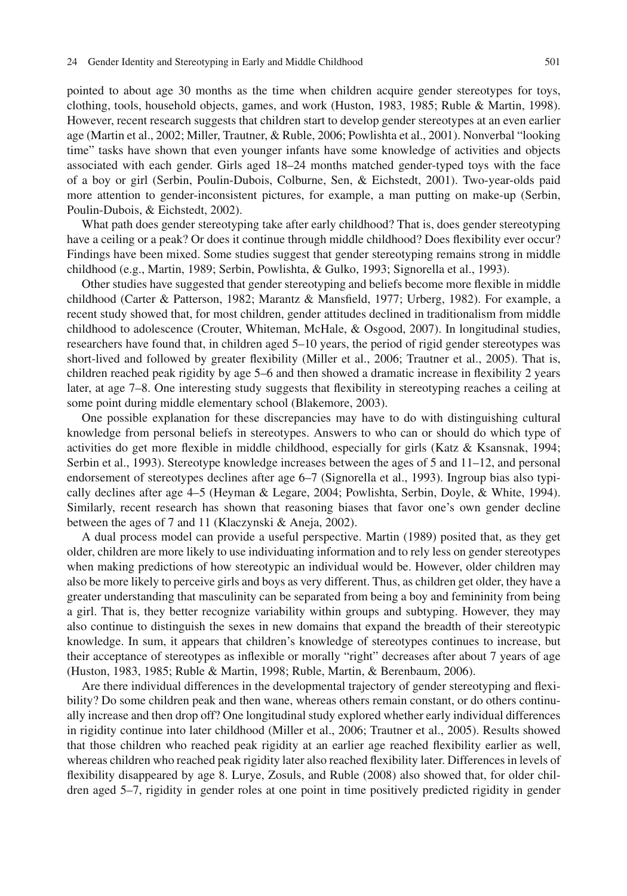pointed to about age 30 months as the time when children acquire gender stereotypes for toys, clothing, tools, household objects, games, and work (Huston, [1983,](#page-26-6) [1985;](#page-26-7) Ruble & Martin, [1998\)](#page-28-9). However, recent research suggests that children start to develop gender stereotypes at an even earlier age (Martin et al., [2002;](#page-27-0) Miller, Trautner, & Ruble, [2006;](#page-27-6) Powlishta et al., [2001\)](#page-28-10). Nonverbal "looking time" tasks have shown that even younger infants have some knowledge of activities and objects associated with each gender. Girls aged 18–24 months matched gender-typed toys with the face of a boy or girl (Serbin, Poulin-Dubois, Colburne, Sen, & Eichstedt, [2001\)](#page-28-4). Two-year-olds paid more attention to gender-inconsistent pictures, for example, a man putting on make-up (Serbin, Poulin-Dubois, & Eichstedt, [2002\)](#page-28-11).

What path does gender stereotyping take after early childhood? That is, does gender stereotyping have a ceiling or a peak? Or does it continue through middle childhood? Does flexibility ever occur? Findings have been mixed. Some studies suggest that gender stereotyping remains strong in middle childhood (e.g., Martin, [1989;](#page-27-7) Serbin, Powlishta, & Gulko, [1993;](#page-28-12) Signorella et al., [1993\)](#page-29-12).

Other studies have suggested that gender stereotyping and beliefs become more flexible in middle childhood (Carter & Patterson, [1982;](#page-24-8) Marantz & Mansfield, [1977;](#page-27-8) Urberg, [1982\)](#page-29-13). For example, a recent study showed that, for most children, gender attitudes declined in traditionalism from middle childhood to adolescence (Crouter, Whiteman, McHale, & Osgood, [2007\)](#page-25-5). In longitudinal studies, researchers have found that, in children aged 5–10 years, the period of rigid gender stereotypes was short-lived and followed by greater flexibility (Miller et al., [2006;](#page-27-6) Trautner et al., [2005\)](#page-29-11). That is, children reached peak rigidity by age 5–6 and then showed a dramatic increase in flexibility 2 years later, at age 7–8. One interesting study suggests that flexibility in stereotyping reaches a ceiling at some point during middle elementary school (Blakemore, [2003\)](#page-24-9).

One possible explanation for these discrepancies may have to do with distinguishing cultural knowledge from personal beliefs in stereotypes. Answers to who can or should do which type of activities do get more flexible in middle childhood, especially for girls (Katz & Ksansnak, [1994;](#page-26-8) Serbin et al., 1993). Stereotype knowledge increases between the ages of 5 and 11–12, and personal endorsement of stereotypes declines after age 6–7 (Signorella et al., [1993\)](#page-29-12). Ingroup bias also typically declines after age 4–5 (Heyman & Legare, [2004;](#page-26-9) Powlishta, Serbin, Doyle, & White, [1994\)](#page-28-13). Similarly, recent research has shown that reasoning biases that favor one's own gender decline between the ages of 7 and 11 (Klaczynski & Aneja, [2002\)](#page-26-10).

A dual process model can provide a useful perspective. Martin [\(1989\)](#page-27-7) posited that, as they get older, children are more likely to use individuating information and to rely less on gender stereotypes when making predictions of how stereotypic an individual would be. However, older children may also be more likely to perceive girls and boys as very different. Thus, as children get older, they have a greater understanding that masculinity can be separated from being a boy and femininity from being a girl. That is, they better recognize variability within groups and subtyping. However, they may also continue to distinguish the sexes in new domains that expand the breadth of their stereotypic knowledge. In sum, it appears that children's knowledge of stereotypes continues to increase, but their acceptance of stereotypes as inflexible or morally "right" decreases after about 7 years of age (Huston, [1983,](#page-26-6) [1985;](#page-26-7) Ruble & Martin, [1998;](#page-28-9) Ruble, Martin, & Berenbaum, [2006\)](#page-28-9).

Are there individual differences in the developmental trajectory of gender stereotyping and flexibility? Do some children peak and then wane, whereas others remain constant, or do others continually increase and then drop off? One longitudinal study explored whether early individual differences in rigidity continue into later childhood (Miller et al., [2006;](#page-27-6) Trautner et al., [2005\)](#page-29-9). Results showed that those children who reached peak rigidity at an earlier age reached flexibility earlier as well, whereas children who reached peak rigidity later also reached flexibility later. Differences in levels of flexibility disappeared by age 8. Lurye, Zosuls, and Ruble [\(2008\)](#page-26-11) also showed that, for older children aged 5–7, rigidity in gender roles at one point in time positively predicted rigidity in gender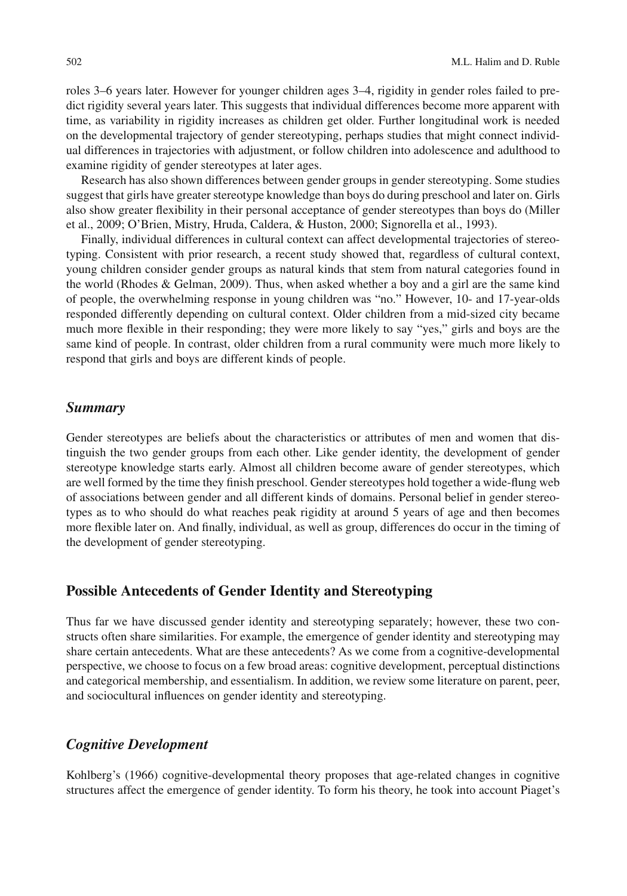roles 3–6 years later. However for younger children ages 3–4, rigidity in gender roles failed to predict rigidity several years later. This suggests that individual differences become more apparent with time, as variability in rigidity increases as children get older. Further longitudinal work is needed on the developmental trajectory of gender stereotyping, perhaps studies that might connect individual differences in trajectories with adjustment, or follow children into adolescence and adulthood to examine rigidity of gender stereotypes at later ages.

Research has also shown differences between gender groups in gender stereotyping. Some studies suggest that girls have greater stereotype knowledge than boys do during preschool and later on. Girls also show greater flexibility in their personal acceptance of gender stereotypes than boys do (Miller et al., 2009; O'Brien, Mistry, Hruda, Caldera, & Huston, [2000;](#page-27-9) Signorella et al., [1993\)](#page-29-12).

Finally, individual differences in cultural context can affect developmental trajectories of stereotyping. Consistent with prior research, a recent study showed that, regardless of cultural context, young children consider gender groups as natural kinds that stem from natural categories found in the world (Rhodes & Gelman, [2009\)](#page-28-14). Thus, when asked whether a boy and a girl are the same kind of people, the overwhelming response in young children was "no." However, 10- and 17-year-olds responded differently depending on cultural context. Older children from a mid-sized city became much more flexible in their responding; they were more likely to say "yes," girls and boys are the same kind of people. In contrast, older children from a rural community were much more likely to respond that girls and boys are different kinds of people.

#### *Summary*

Gender stereotypes are beliefs about the characteristics or attributes of men and women that distinguish the two gender groups from each other. Like gender identity, the development of gender stereotype knowledge starts early. Almost all children become aware of gender stereotypes, which are well formed by the time they finish preschool. Gender stereotypes hold together a wide-flung web of associations between gender and all different kinds of domains. Personal belief in gender stereotypes as to who should do what reaches peak rigidity at around 5 years of age and then becomes more flexible later on. And finally, individual, as well as group, differences do occur in the timing of the development of gender stereotyping.

# **Possible Antecedents of Gender Identity and Stereotyping**

Thus far we have discussed gender identity and stereotyping separately; however, these two constructs often share similarities. For example, the emergence of gender identity and stereotyping may share certain antecedents. What are these antecedents? As we come from a cognitive-developmental perspective, we choose to focus on a few broad areas: cognitive development, perceptual distinctions and categorical membership, and essentialism. In addition, we review some literature on parent, peer, and sociocultural influences on gender identity and stereotyping.

#### *Cognitive Development*

Kohlberg's (1966) cognitive-developmental theory proposes that age-related changes in cognitive structures affect the emergence of gender identity. To form his theory, he took into account Piaget's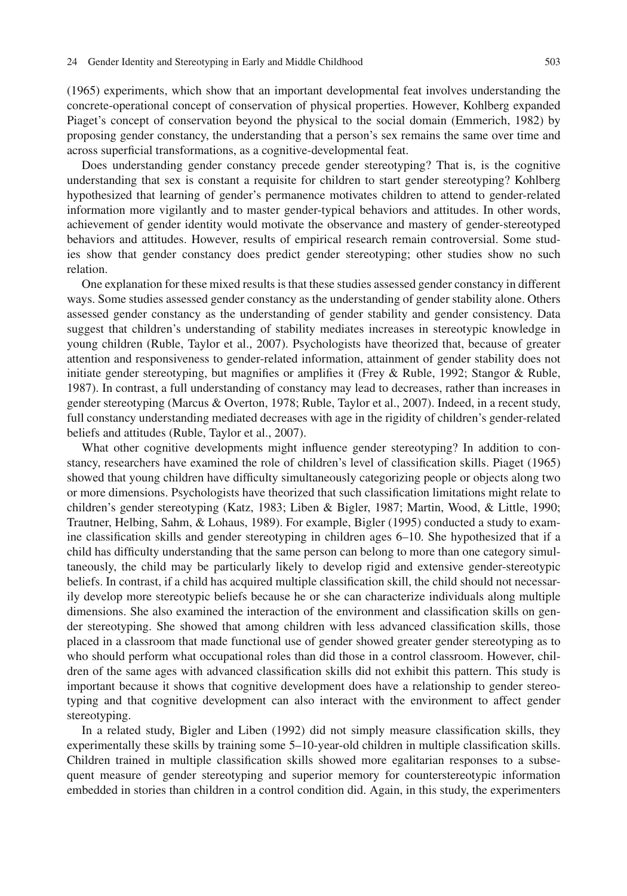(1965) experiments, which show that an important developmental feat involves understanding the concrete-operational concept of conservation of physical properties. However, Kohlberg expanded Piaget's concept of conservation beyond the physical to the social domain (Emmerich, [1982\)](#page-25-6) by proposing gender constancy, the understanding that a person's sex remains the same over time and across superficial transformations, as a cognitive-developmental feat.

Does understanding gender constancy precede gender stereotyping? That is, is the cognitive understanding that sex is constant a requisite for children to start gender stereotyping? Kohlberg hypothesized that learning of gender's permanence motivates children to attend to gender-related information more vigilantly and to master gender-typical behaviors and attitudes. In other words, achievement of gender identity would motivate the observance and mastery of gender-stereotyped behaviors and attitudes. However, results of empirical research remain controversial. Some studies show that gender constancy does predict gender stereotyping; other studies show no such relation.

One explanation for these mixed results is that these studies assessed gender constancy in different ways. Some studies assessed gender constancy as the understanding of gender stability alone. Others assessed gender constancy as the understanding of gender stability and gender consistency. Data suggest that children's understanding of stability mediates increases in stereotypic knowledge in young children (Ruble, Taylor et al., 2007). Psychologists have theorized that, because of greater attention and responsiveness to gender-related information, attainment of gender stability does not initiate gender stereotyping, but magnifies or amplifies it (Frey & Ruble, [1992;](#page-25-7) Stangor & Ruble, [1987\)](#page-29-14). In contrast, a full understanding of constancy may lead to decreases, rather than increases in gender stereotyping (Marcus & Overton, [1978;](#page-27-10) Ruble, Taylor et al., [2007\)](#page-28-9). Indeed, in a recent study, full constancy understanding mediated decreases with age in the rigidity of children's gender-related beliefs and attitudes (Ruble, Taylor et al., [2007\)](#page-28-9).

What other cognitive developments might influence gender stereotyping? In addition to constancy, researchers have examined the role of children's level of classification skills. Piaget [\(1965\)](#page-28-2) showed that young children have difficulty simultaneously categorizing people or objects along two or more dimensions. Psychologists have theorized that such classification limitations might relate to children's gender stereotyping (Katz, [1983;](#page-26-12) Liben & Bigler, [1987;](#page-26-13) Martin, Wood, & Little, [1990;](#page-27-1) Trautner, Helbing, Sahm, & Lohaus, [1989\)](#page-29-15). For example, Bigler [\(1995\)](#page-24-10) conducted a study to examine classification skills and gender stereotyping in children ages 6–10. She hypothesized that if a child has difficulty understanding that the same person can belong to more than one category simultaneously, the child may be particularly likely to develop rigid and extensive gender-stereotypic beliefs. In contrast, if a child has acquired multiple classification skill, the child should not necessarily develop more stereotypic beliefs because he or she can characterize individuals along multiple dimensions. She also examined the interaction of the environment and classification skills on gender stereotyping. She showed that among children with less advanced classification skills, those placed in a classroom that made functional use of gender showed greater gender stereotyping as to who should perform what occupational roles than did those in a control classroom. However, children of the same ages with advanced classification skills did not exhibit this pattern. This study is important because it shows that cognitive development does have a relationship to gender stereotyping and that cognitive development can also interact with the environment to affect gender stereotyping.

In a related study, Bigler and Liben [\(1992\)](#page-24-11) did not simply measure classification skills, they experimentally these skills by training some 5–10-year-old children in multiple classification skills. Children trained in multiple classification skills showed more egalitarian responses to a subsequent measure of gender stereotyping and superior memory for counterstereotypic information embedded in stories than children in a control condition did. Again, in this study, the experimenters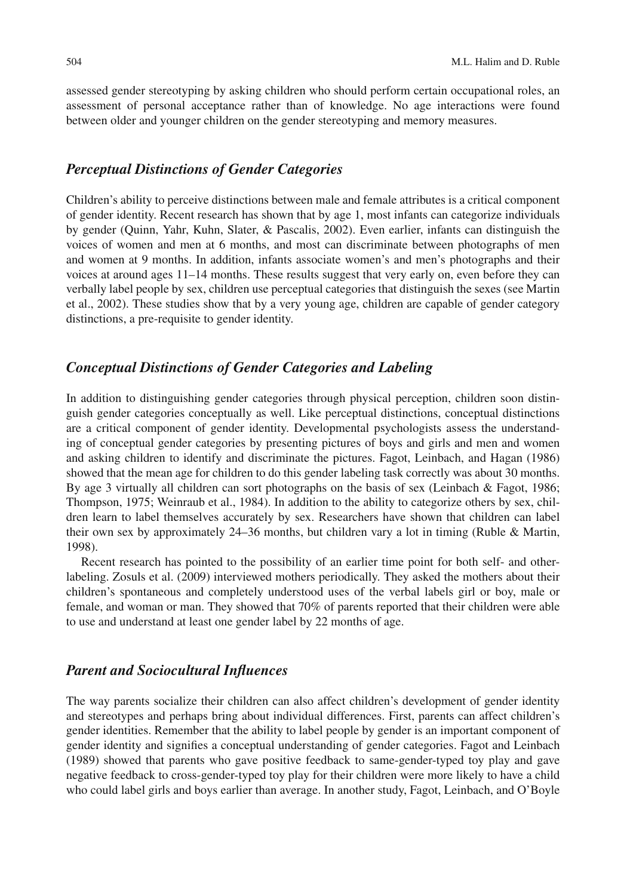assessed gender stereotyping by asking children who should perform certain occupational roles, an assessment of personal acceptance rather than of knowledge. No age interactions were found between older and younger children on the gender stereotyping and memory measures.

# *Perceptual Distinctions of Gender Categories*

Children's ability to perceive distinctions between male and female attributes is a critical component of gender identity. Recent research has shown that by age 1, most infants can categorize individuals by gender (Quinn, Yahr, Kuhn, Slater, & Pascalis, [2002\)](#page-28-15). Even earlier, infants can distinguish the voices of women and men at 6 months, and most can discriminate between photographs of men and women at 9 months. In addition, infants associate women's and men's photographs and their voices at around ages 11–14 months. These results suggest that very early on, even before they can verbally label people by sex, children use perceptual categories that distinguish the sexes (see Martin et al., [2002\)](#page-27-1). These studies show that by a very young age, children are capable of gender category distinctions, a pre-requisite to gender identity.

## *Conceptual Distinctions of Gender Categories and Labeling*

In addition to distinguishing gender categories through physical perception, children soon distinguish gender categories conceptually as well. Like perceptual distinctions, conceptual distinctions are a critical component of gender identity. Developmental psychologists assess the understanding of conceptual gender categories by presenting pictures of boys and girls and men and women and asking children to identify and discriminate the pictures. Fagot, Leinbach, and Hagan [\(1986\)](#page-25-8) showed that the mean age for children to do this gender labeling task correctly was about 30 months. By age 3 virtually all children can sort photographs on the basis of sex (Leinbach & Fagot, [1986;](#page-26-14) Thompson, [1975;](#page-29-16) Weinraub et al., [1984\)](#page-29-17). In addition to the ability to categorize others by sex, children learn to label themselves accurately by sex. Researchers have shown that children can label their own sex by approximately 24–36 months, but children vary a lot in timing (Ruble & Martin, [1998\)](#page-28-9).

Recent research has pointed to the possibility of an earlier time point for both self- and otherlabeling. Zosuls et al. (2009) interviewed mothers periodically. They asked the mothers about their children's spontaneous and completely understood uses of the verbal labels girl or boy, male or female, and woman or man. They showed that 70% of parents reported that their children were able to use and understand at least one gender label by 22 months of age.

## *Parent and Sociocultural Influences*

The way parents socialize their children can also affect children's development of gender identity and stereotypes and perhaps bring about individual differences. First, parents can affect children's gender identities. Remember that the ability to label people by gender is an important component of gender identity and signifies a conceptual understanding of gender categories. Fagot and Leinbach [\(1989\)](#page-25-9) showed that parents who gave positive feedback to same-gender-typed toy play and gave negative feedback to cross-gender-typed toy play for their children were more likely to have a child who could label girls and boys earlier than average. In another study, Fagot, Leinbach, and O'Boyle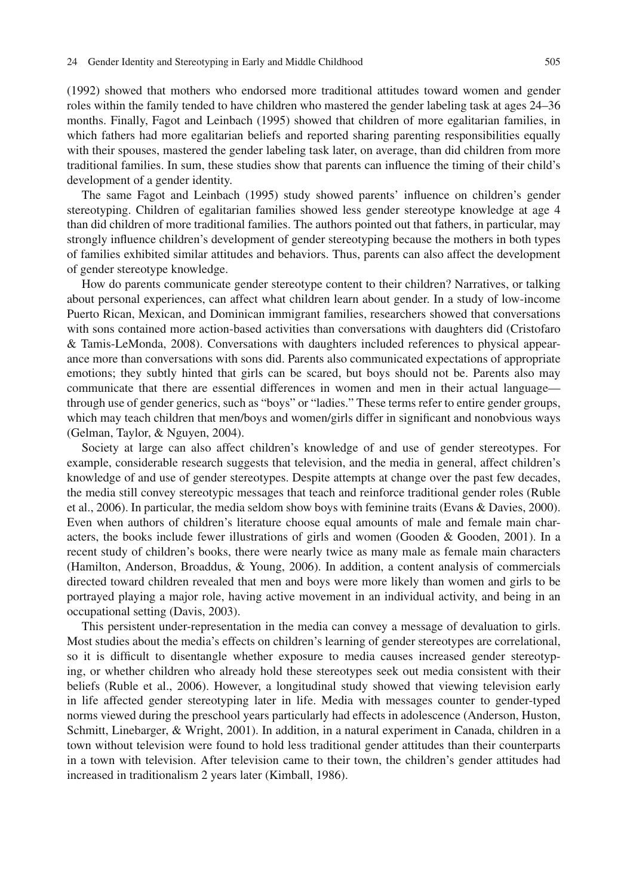[\(1992\)](#page-25-10) showed that mothers who endorsed more traditional attitudes toward women and gender roles within the family tended to have children who mastered the gender labeling task at ages 24–36 months. Finally, Fagot and Leinbach [\(1995\)](#page-25-11) showed that children of more egalitarian families, in which fathers had more egalitarian beliefs and reported sharing parenting responsibilities equally with their spouses, mastered the gender labeling task later, on average, than did children from more traditional families. In sum, these studies show that parents can influence the timing of their child's development of a gender identity.

The same Fagot and Leinbach [\(1995\)](#page-25-11) study showed parents' influence on children's gender stereotyping. Children of egalitarian families showed less gender stereotype knowledge at age 4 than did children of more traditional families. The authors pointed out that fathers, in particular, may strongly influence children's development of gender stereotyping because the mothers in both types of families exhibited similar attitudes and behaviors. Thus, parents can also affect the development of gender stereotype knowledge.

How do parents communicate gender stereotype content to their children? Narratives, or talking about personal experiences, can affect what children learn about gender. In a study of low-income Puerto Rican, Mexican, and Dominican immigrant families, researchers showed that conversations with sons contained more action-based activities than conversations with daughters did (Cristofaro & Tamis-LeMonda, [2008\)](#page-24-6). Conversations with daughters included references to physical appearance more than conversations with sons did. Parents also communicated expectations of appropriate emotions; they subtly hinted that girls can be scared, but boys should not be. Parents also may communicate that there are essential differences in women and men in their actual language through use of gender generics, such as "boys" or "ladies." These terms refer to entire gender groups, which may teach children that men/boys and women/girls differ in significant and nonobvious ways (Gelman, Taylor, & Nguyen, [2004\)](#page-25-12).

Society at large can also affect children's knowledge of and use of gender stereotypes. For example, considerable research suggests that television, and the media in general, affect children's knowledge of and use of gender stereotypes. Despite attempts at change over the past few decades, the media still convey stereotypic messages that teach and reinforce traditional gender roles (Ruble et al., [2006\)](#page-28-16). In particular, the media seldom show boys with feminine traits (Evans & Davies, [2000\)](#page-25-13). Even when authors of children's literature choose equal amounts of male and female main characters, the books include fewer illustrations of girls and women (Gooden & Gooden, [2001\)](#page-25-14). In a recent study of children's books, there were nearly twice as many male as female main characters (Hamilton, Anderson, Broaddus, & Young, [2006\)](#page-25-15). In addition, a content analysis of commercials directed toward children revealed that men and boys were more likely than women and girls to be portrayed playing a major role, having active movement in an individual activity, and being in an occupational setting (Davis, [2003\)](#page-25-16).

This persistent under-representation in the media can convey a message of devaluation to girls. Most studies about the media's effects on children's learning of gender stereotypes are correlational, so it is difficult to disentangle whether exposure to media causes increased gender stereotyping, or whether children who already hold these stereotypes seek out media consistent with their beliefs (Ruble et al., [2006\)](#page-28-16). However, a longitudinal study showed that viewing television early in life affected gender stereotyping later in life. Media with messages counter to gender-typed norms viewed during the preschool years particularly had effects in adolescence (Anderson, Huston, Schmitt, Linebarger, & Wright, [2001\)](#page-23-3). In addition, in a natural experiment in Canada, children in a town without television were found to hold less traditional gender attitudes than their counterparts in a town with television. After television came to their town, the children's gender attitudes had increased in traditionalism 2 years later (Kimball, [1986\)](#page-26-15).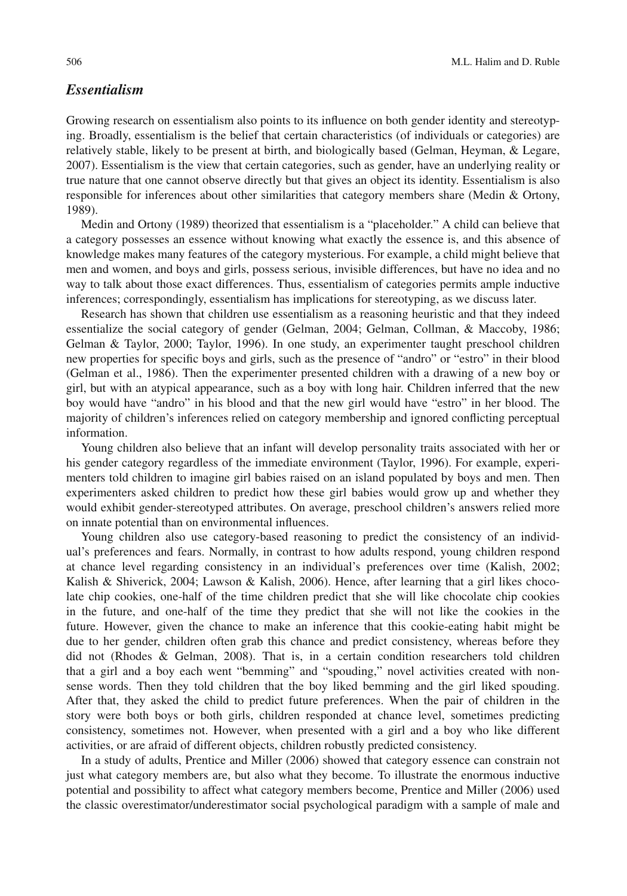## *Essentialism*

Growing research on essentialism also points to its influence on both gender identity and stereotyping. Broadly, essentialism is the belief that certain characteristics (of individuals or categories) are relatively stable, likely to be present at birth, and biologically based (Gelman, Heyman, & Legare, [2007\)](#page-25-17). Essentialism is the view that certain categories, such as gender, have an underlying reality or true nature that one cannot observe directly but that gives an object its identity. Essentialism is also responsible for inferences about other similarities that category members share (Medin & Ortony, [1989\)](#page-27-6).

Medin and Ortony [\(1989\)](#page-27-6) theorized that essentialism is a "placeholder." A child can believe that a category possesses an essence without knowing what exactly the essence is, and this absence of knowledge makes many features of the category mysterious. For example, a child might believe that men and women, and boys and girls, possess serious, invisible differences, but have no idea and no way to talk about those exact differences. Thus, essentialism of categories permits ample inductive inferences; correspondingly, essentialism has implications for stereotyping, as we discuss later.

Research has shown that children use essentialism as a reasoning heuristic and that they indeed essentialize the social category of gender (Gelman, [2004;](#page-25-18) Gelman, Collman, & Maccoby, [1986;](#page-25-19) Gelman & Taylor, [2000;](#page-25-20) Taylor, [1996\)](#page-29-18). In one study, an experimenter taught preschool children new properties for specific boys and girls, such as the presence of "andro" or "estro" in their blood (Gelman et al., [1986\)](#page-25-19). Then the experimenter presented children with a drawing of a new boy or girl, but with an atypical appearance, such as a boy with long hair. Children inferred that the new boy would have "andro" in his blood and that the new girl would have "estro" in her blood. The majority of children's inferences relied on category membership and ignored conflicting perceptual information.

Young children also believe that an infant will develop personality traits associated with her or his gender category regardless of the immediate environment (Taylor, [1996\)](#page-29-18). For example, experimenters told children to imagine girl babies raised on an island populated by boys and men. Then experimenters asked children to predict how these girl babies would grow up and whether they would exhibit gender-stereotyped attributes. On average, preschool children's answers relied more on innate potential than on environmental influences.

Young children also use category-based reasoning to predict the consistency of an individual's preferences and fears. Normally, in contrast to how adults respond, young children respond at chance level regarding consistency in an individual's preferences over time (Kalish, [2002;](#page-26-16) Kalish & Shiverick, [2004;](#page-26-17) Lawson & Kalish, [2006\)](#page-26-18). Hence, after learning that a girl likes chocolate chip cookies, one-half of the time children predict that she will like chocolate chip cookies in the future, and one-half of the time they predict that she will not like the cookies in the future. However, given the chance to make an inference that this cookie-eating habit might be due to her gender, children often grab this chance and predict consistency, whereas before they did not (Rhodes & Gelman, 2008). That is, in a certain condition researchers told children that a girl and a boy each went "bemming" and "spouding," novel activities created with nonsense words. Then they told children that the boy liked bemming and the girl liked spouding. After that, they asked the child to predict future preferences. When the pair of children in the story were both boys or both girls, children responded at chance level, sometimes predicting consistency, sometimes not. However, when presented with a girl and a boy who like different activities, or are afraid of different objects, children robustly predicted consistency.

In a study of adults, Prentice and Miller [\(2006\)](#page-28-13) showed that category essence can constrain not just what category members are, but also what they become. To illustrate the enormous inductive potential and possibility to affect what category members become, Prentice and Miller [\(2006\)](#page-28-10) used the classic overestimator/underestimator social psychological paradigm with a sample of male and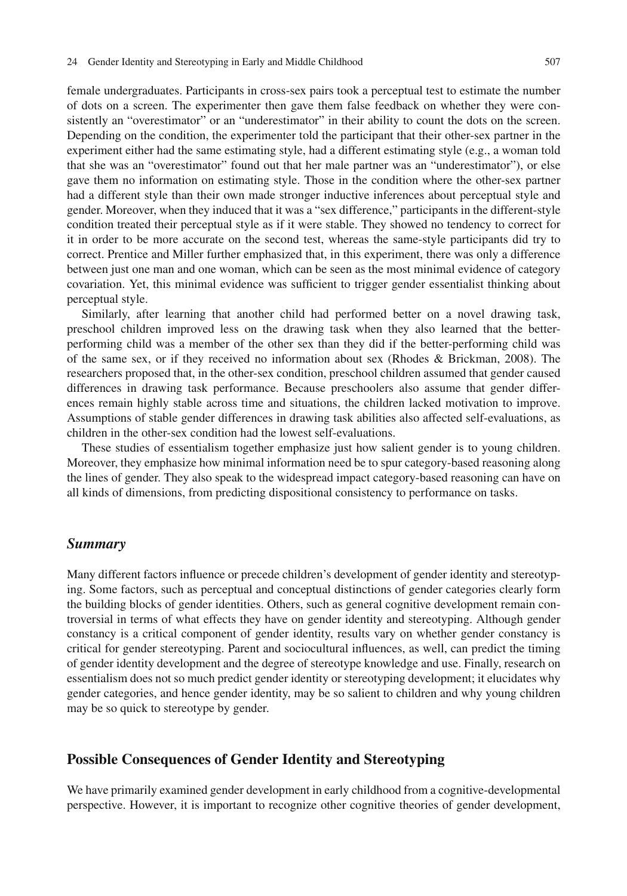female undergraduates. Participants in cross-sex pairs took a perceptual test to estimate the number of dots on a screen. The experimenter then gave them false feedback on whether they were consistently an "overestimator" or an "underestimator" in their ability to count the dots on the screen. Depending on the condition, the experimenter told the participant that their other-sex partner in the experiment either had the same estimating style, had a different estimating style (e.g., a woman told that she was an "overestimator" found out that her male partner was an "underestimator"), or else gave them no information on estimating style. Those in the condition where the other-sex partner had a different style than their own made stronger inductive inferences about perceptual style and gender. Moreover, when they induced that it was a "sex difference," participants in the different-style condition treated their perceptual style as if it were stable. They showed no tendency to correct for it in order to be more accurate on the second test, whereas the same-style participants did try to correct. Prentice and Miller further emphasized that, in this experiment, there was only a difference between just one man and one woman, which can be seen as the most minimal evidence of category covariation. Yet, this minimal evidence was sufficient to trigger gender essentialist thinking about perceptual style.

Similarly, after learning that another child had performed better on a novel drawing task, preschool children improved less on the drawing task when they also learned that the betterperforming child was a member of the other sex than they did if the better-performing child was of the same sex, or if they received no information about sex (Rhodes & Brickman, 2008). The researchers proposed that, in the other-sex condition, preschool children assumed that gender caused differences in drawing task performance. Because preschoolers also assume that gender differences remain highly stable across time and situations, the children lacked motivation to improve. Assumptions of stable gender differences in drawing task abilities also affected self-evaluations, as children in the other-sex condition had the lowest self-evaluations.

These studies of essentialism together emphasize just how salient gender is to young children. Moreover, they emphasize how minimal information need be to spur category-based reasoning along the lines of gender. They also speak to the widespread impact category-based reasoning can have on all kinds of dimensions, from predicting dispositional consistency to performance on tasks.

## *Summary*

Many different factors influence or precede children's development of gender identity and stereotyping. Some factors, such as perceptual and conceptual distinctions of gender categories clearly form the building blocks of gender identities. Others, such as general cognitive development remain controversial in terms of what effects they have on gender identity and stereotyping. Although gender constancy is a critical component of gender identity, results vary on whether gender constancy is critical for gender stereotyping. Parent and sociocultural influences, as well, can predict the timing of gender identity development and the degree of stereotype knowledge and use. Finally, research on essentialism does not so much predict gender identity or stereotyping development; it elucidates why gender categories, and hence gender identity, may be so salient to children and why young children may be so quick to stereotype by gender.

## **Possible Consequences of Gender Identity and Stereotyping**

We have primarily examined gender development in early childhood from a cognitive-developmental perspective. However, it is important to recognize other cognitive theories of gender development,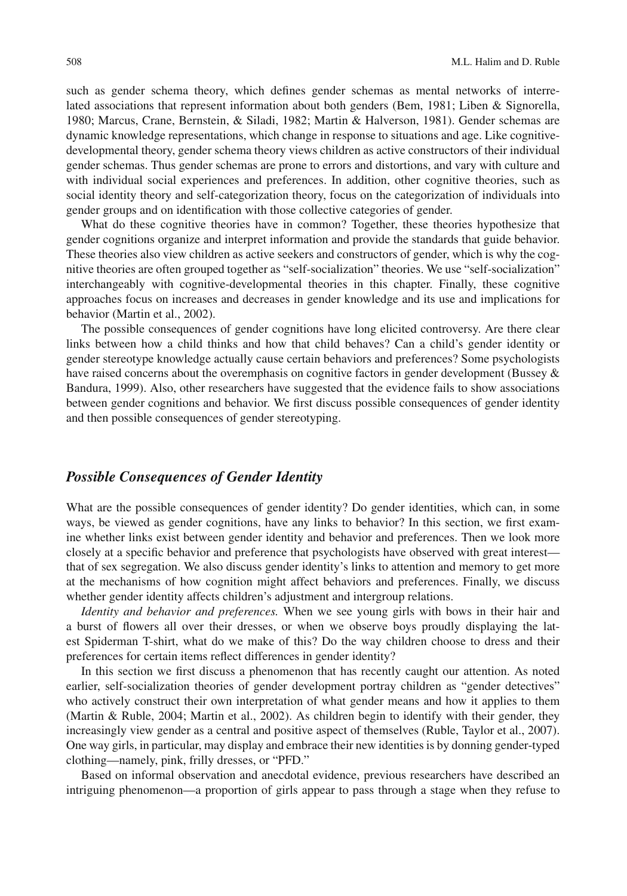such as gender schema theory, which defines gender schemas as mental networks of interrelated associations that represent information about both genders (Bem, [1981;](#page-24-12) Liben & Signorella, [1980;](#page-26-19) Marcus, Crane, Bernstein, & Siladi, [1982;](#page-27-11) Martin & Halverson, [1981\)](#page-27-12). Gender schemas are dynamic knowledge representations, which change in response to situations and age. Like cognitivedevelopmental theory, gender schema theory views children as active constructors of their individual gender schemas. Thus gender schemas are prone to errors and distortions, and vary with culture and with individual social experiences and preferences. In addition, other cognitive theories, such as social identity theory and self-categorization theory, focus on the categorization of individuals into gender groups and on identification with those collective categories of gender.

What do these cognitive theories have in common? Together, these theories hypothesize that gender cognitions organize and interpret information and provide the standards that guide behavior. These theories also view children as active seekers and constructors of gender, which is why the cognitive theories are often grouped together as "self-socialization" theories. We use "self-socialization" interchangeably with cognitive-developmental theories in this chapter. Finally, these cognitive approaches focus on increases and decreases in gender knowledge and its use and implications for behavior (Martin et al., [2002\)](#page-27-0).

The possible consequences of gender cognitions have long elicited controversy. Are there clear links between how a child thinks and how that child behaves? Can a child's gender identity or gender stereotype knowledge actually cause certain behaviors and preferences? Some psychologists have raised concerns about the overemphasis on cognitive factors in gender development (Bussey & Bandura, [1999\)](#page-24-13). Also, other researchers have suggested that the evidence fails to show associations between gender cognitions and behavior. We first discuss possible consequences of gender identity and then possible consequences of gender stereotyping.

#### *Possible Consequences of Gender Identity*

What are the possible consequences of gender identity? Do gender identities, which can, in some ways, be viewed as gender cognitions, have any links to behavior? In this section, we first examine whether links exist between gender identity and behavior and preferences. Then we look more closely at a specific behavior and preference that psychologists have observed with great interest that of sex segregation. We also discuss gender identity's links to attention and memory to get more at the mechanisms of how cognition might affect behaviors and preferences. Finally, we discuss whether gender identity affects children's adjustment and intergroup relations.

*Identity and behavior and preferences.* When we see young girls with bows in their hair and a burst of flowers all over their dresses, or when we observe boys proudly displaying the latest Spiderman T-shirt, what do we make of this? Do the way children choose to dress and their preferences for certain items reflect differences in gender identity?

In this section we first discuss a phenomenon that has recently caught our attention. As noted earlier, self-socialization theories of gender development portray children as "gender detectives" who actively construct their own interpretation of what gender means and how it applies to them (Martin & Ruble, [2004;](#page-27-13) Martin et al., [2002\)](#page-27-0). As children begin to identify with their gender, they increasingly view gender as a central and positive aspect of themselves (Ruble, Taylor et al., [2007\)](#page-28-9). One way girls, in particular, may display and embrace their new identities is by donning gender-typed clothing—namely, pink, frilly dresses, or "PFD."

Based on informal observation and anecdotal evidence, previous researchers have described an intriguing phenomenon—a proportion of girls appear to pass through a stage when they refuse to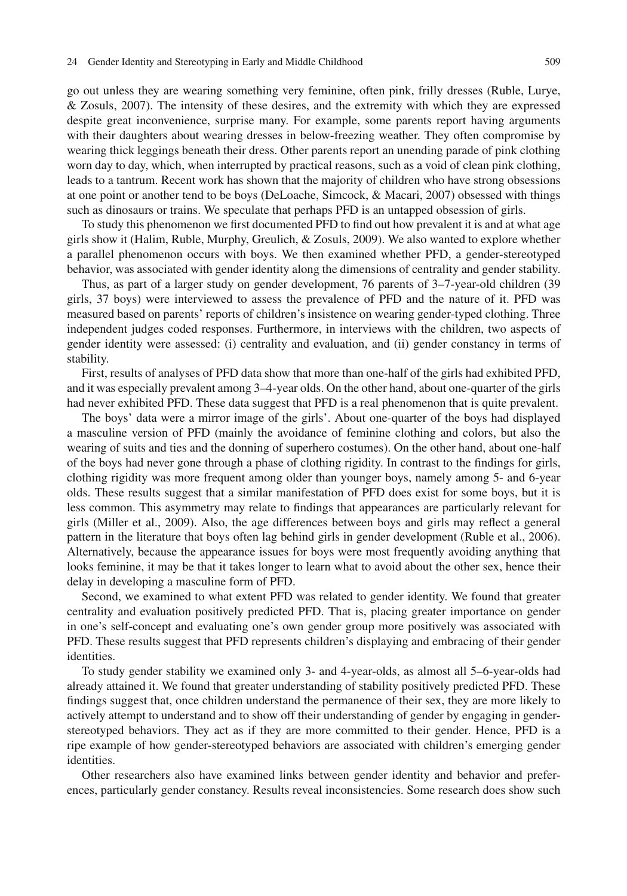go out unless they are wearing something very feminine, often pink, frilly dresses (Ruble, Lurye, & Zosuls, [2007\)](#page-28-16). The intensity of these desires, and the extremity with which they are expressed despite great inconvenience, surprise many. For example, some parents report having arguments with their daughters about wearing dresses in below-freezing weather. They often compromise by wearing thick leggings beneath their dress. Other parents report an unending parade of pink clothing worn day to day, which, when interrupted by practical reasons, such as a void of clean pink clothing, leads to a tantrum. Recent work has shown that the majority of children who have strong obsessions at one point or another tend to be boys (DeLoache, Simcock, & Macari, [2007\)](#page-25-21) obsessed with things such as dinosaurs or trains. We speculate that perhaps PFD is an untapped obsession of girls.

To study this phenomenon we first documented PFD to find out how prevalent it is and at what age girls show it (Halim, Ruble, Murphy, Greulich, & Zosuls, 2009). We also wanted to explore whether a parallel phenomenon occurs with boys. We then examined whether PFD, a gender-stereotyped behavior, was associated with gender identity along the dimensions of centrality and gender stability.

Thus, as part of a larger study on gender development, 76 parents of 3–7-year-old children (39 girls, 37 boys) were interviewed to assess the prevalence of PFD and the nature of it. PFD was measured based on parents' reports of children's insistence on wearing gender-typed clothing. Three independent judges coded responses. Furthermore, in interviews with the children, two aspects of gender identity were assessed: (i) centrality and evaluation, and (ii) gender constancy in terms of stability.

First, results of analyses of PFD data show that more than one-half of the girls had exhibited PFD, and it was especially prevalent among 3–4-year olds. On the other hand, about one-quarter of the girls had never exhibited PFD. These data suggest that PFD is a real phenomenon that is quite prevalent.

The boys' data were a mirror image of the girls'. About one-quarter of the boys had displayed a masculine version of PFD (mainly the avoidance of feminine clothing and colors, but also the wearing of suits and ties and the donning of superhero costumes). On the other hand, about one-half of the boys had never gone through a phase of clothing rigidity. In contrast to the findings for girls, clothing rigidity was more frequent among older than younger boys, namely among 5- and 6-year olds. These results suggest that a similar manifestation of PFD does exist for some boys, but it is less common. This asymmetry may relate to findings that appearances are particularly relevant for girls (Miller et al., 2009). Also, the age differences between boys and girls may reflect a general pattern in the literature that boys often lag behind girls in gender development (Ruble et al., [2006\)](#page-28-9). Alternatively, because the appearance issues for boys were most frequently avoiding anything that looks feminine, it may be that it takes longer to learn what to avoid about the other sex, hence their delay in developing a masculine form of PFD.

Second, we examined to what extent PFD was related to gender identity. We found that greater centrality and evaluation positively predicted PFD. That is, placing greater importance on gender in one's self-concept and evaluating one's own gender group more positively was associated with PFD. These results suggest that PFD represents children's displaying and embracing of their gender identities.

To study gender stability we examined only 3- and 4-year-olds, as almost all 5–6-year-olds had already attained it. We found that greater understanding of stability positively predicted PFD. These findings suggest that, once children understand the permanence of their sex, they are more likely to actively attempt to understand and to show off their understanding of gender by engaging in genderstereotyped behaviors. They act as if they are more committed to their gender. Hence, PFD is a ripe example of how gender-stereotyped behaviors are associated with children's emerging gender identities.

Other researchers also have examined links between gender identity and behavior and preferences, particularly gender constancy. Results reveal inconsistencies. Some research does show such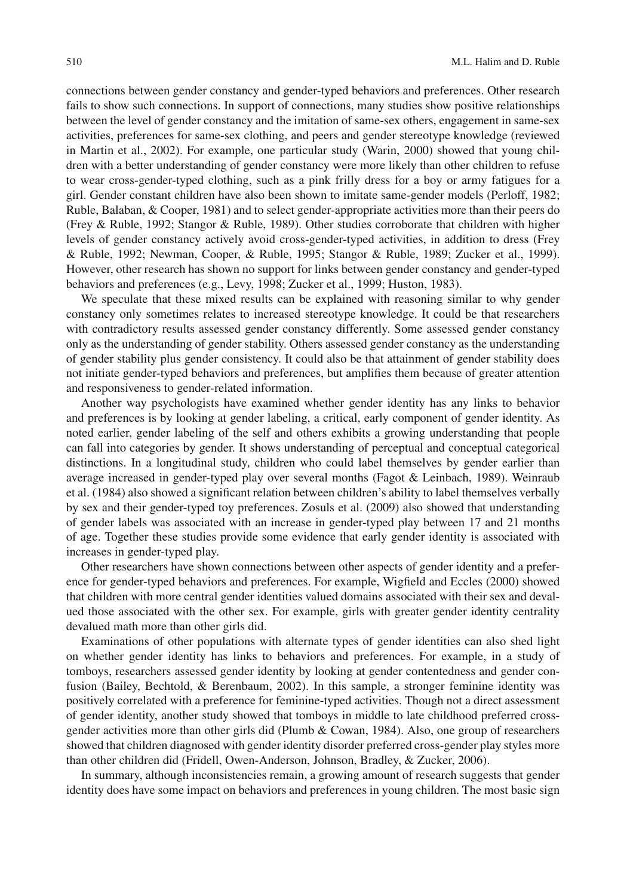connections between gender constancy and gender-typed behaviors and preferences. Other research fails to show such connections. In support of connections, many studies show positive relationships between the level of gender constancy and the imitation of same-sex others, engagement in same-sex activities, preferences for same-sex clothing, and peers and gender stereotype knowledge (reviewed in Martin et al., [2002\)](#page-27-0). For example, one particular study (Warin, [2000\)](#page-29-19) showed that young children with a better understanding of gender constancy were more likely than other children to refuse to wear cross-gender-typed clothing, such as a pink frilly dress for a boy or army fatigues for a girl. Gender constant children have also been shown to imitate same-gender models (Perloff, [1982;](#page-27-14) Ruble, Balaban, & Cooper, [1981\)](#page-28-17) and to select gender-appropriate activities more than their peers do (Frey & Ruble, [1992;](#page-25-7) Stangor & Ruble, [1989\)](#page-29-14). Other studies corroborate that children with higher levels of gender constancy actively avoid cross-gender-typed activities, in addition to dress (Frey & Ruble, [1992;](#page-25-7) Newman, Cooper, & Ruble, [1995;](#page-27-2) Stangor & Ruble, [1989;](#page-29-14) Zucker et al., [1999\)](#page-30-1). However, other research has shown no support for links between gender constancy and gender-typed behaviors and preferences (e.g., Levy, [1998;](#page-26-20) Zucker et al., [1999;](#page-30-1) Huston, [1983\)](#page-26-6).

We speculate that these mixed results can be explained with reasoning similar to why gender constancy only sometimes relates to increased stereotype knowledge. It could be that researchers with contradictory results assessed gender constancy differently. Some assessed gender constancy only as the understanding of gender stability. Others assessed gender constancy as the understanding of gender stability plus gender consistency. It could also be that attainment of gender stability does not initiate gender-typed behaviors and preferences, but amplifies them because of greater attention and responsiveness to gender-related information.

Another way psychologists have examined whether gender identity has any links to behavior and preferences is by looking at gender labeling, a critical, early component of gender identity. As noted earlier, gender labeling of the self and others exhibits a growing understanding that people can fall into categories by gender. It shows understanding of perceptual and conceptual categorical distinctions. In a longitudinal study, children who could label themselves by gender earlier than average increased in gender-typed play over several months (Fagot & Leinbach, [1989\)](#page-25-9). Weinraub et al. [\(1984\)](#page-29-17) also showed a significant relation between children's ability to label themselves verbally by sex and their gender-typed toy preferences. Zosuls et al. (2009) also showed that understanding of gender labels was associated with an increase in gender-typed play between 17 and 21 months of age. Together these studies provide some evidence that early gender identity is associated with increases in gender-typed play.

Other researchers have shown connections between other aspects of gender identity and a preference for gender-typed behaviors and preferences. For example, Wigfield and Eccles [\(2000\)](#page-30-2) showed that children with more central gender identities valued domains associated with their sex and devalued those associated with the other sex. For example, girls with greater gender identity centrality devalued math more than other girls did.

Examinations of other populations with alternate types of gender identities can also shed light on whether gender identity has links to behaviors and preferences. For example, in a study of tomboys, researchers assessed gender identity by looking at gender contentedness and gender confusion (Bailey, Bechtold, & Berenbaum, [2002\)](#page-23-4). In this sample, a stronger feminine identity was positively correlated with a preference for feminine-typed activities. Though not a direct assessment of gender identity, another study showed that tomboys in middle to late childhood preferred crossgender activities more than other girls did (Plumb & Cowan, [1984\)](#page-28-18). Also, one group of researchers showed that children diagnosed with gender identity disorder preferred cross-gender play styles more than other children did (Fridell, Owen-Anderson, Johnson, Bradley, & Zucker, [2006\)](#page-25-22).

In summary, although inconsistencies remain, a growing amount of research suggests that gender identity does have some impact on behaviors and preferences in young children. The most basic sign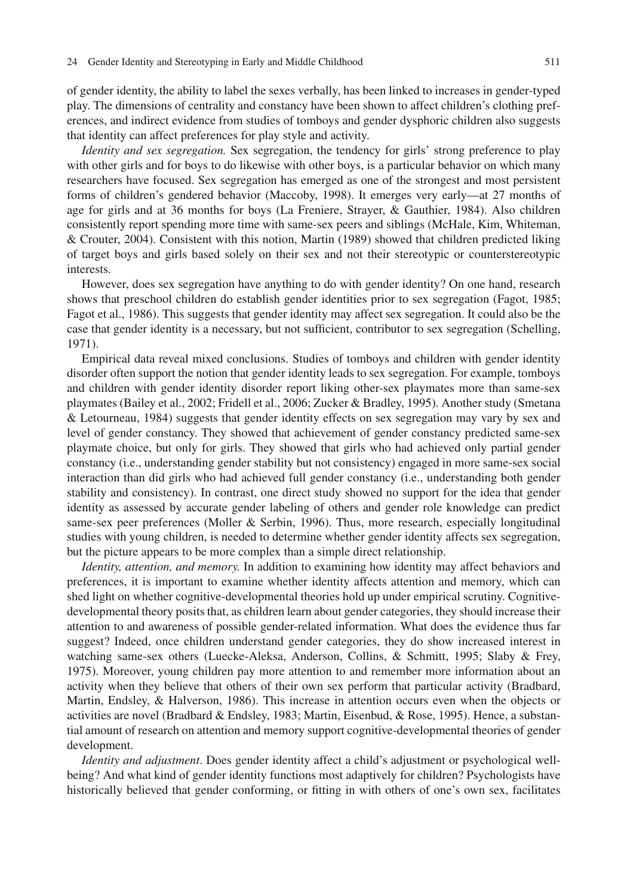of gender identity, the ability to label the sexes verbally, has been linked to increases in gender-typed play. The dimensions of centrality and constancy have been shown to affect children's clothing preferences, and indirect evidence from studies of tomboys and gender dysphoric children also suggests that identity can affect preferences for play style and activity.

*Identity and sex segregation.* Sex segregation, the tendency for girls' strong preference to play with other girls and for boys to do likewise with other boys, is a particular behavior on which many researchers have focused. Sex segregation has emerged as one of the strongest and most persistent forms of children's gendered behavior (Maccoby, [1998\)](#page-26-0). It emerges very early—at 27 months of age for girls and at 36 months for boys (La Freniere, Strayer, & Gauthier, [1984\)](#page-26-21). Also children consistently report spending more time with same-sex peers and siblings (McHale, Kim, Whiteman, & Crouter, [2004\)](#page-27-3). Consistent with this notion, Martin [\(1989\)](#page-27-7) showed that children predicted liking of target boys and girls based solely on their sex and not their stereotypic or counterstereotypic interests.

However, does sex segregation have anything to do with gender identity? On one hand, research shows that preschool children do establish gender identities prior to sex segregation (Fagot, [1985;](#page-25-23) Fagot et al., [1986\)](#page-25-8). This suggests that gender identity may affect sex segregation. It could also be the case that gender identity is a necessary, but not sufficient, contributor to sex segregation (Schelling, [1971\)](#page-28-8).

Empirical data reveal mixed conclusions. Studies of tomboys and children with gender identity disorder often support the notion that gender identity leads to sex segregation. For example, tomboys and children with gender identity disorder report liking other-sex playmates more than same-sex playmates (Bailey et al., [2002;](#page-23-4) Fridell et al., [2006;](#page-25-22) Zucker & Bradley, [1995\)](#page-30-0). Another study (Smetana & Letourneau, [1984\)](#page-29-5) suggests that gender identity effects on sex segregation may vary by sex and level of gender constancy. They showed that achievement of gender constancy predicted same-sex playmate choice, but only for girls. They showed that girls who had achieved only partial gender constancy (i.e., understanding gender stability but not consistency) engaged in more same-sex social interaction than did girls who had achieved full gender constancy (i.e., understanding both gender stability and consistency). In contrast, one direct study showed no support for the idea that gender identity as assessed by accurate gender labeling of others and gender role knowledge can predict same-sex peer preferences (Moller & Serbin, [1996\)](#page-27-15). Thus, more research, especially longitudinal studies with young children, is needed to determine whether gender identity affects sex segregation, but the picture appears to be more complex than a simple direct relationship.

*Identity, attention, and memory.* In addition to examining how identity may affect behaviors and preferences, it is important to examine whether identity affects attention and memory, which can shed light on whether cognitive-developmental theories hold up under empirical scrutiny. Cognitivedevelopmental theory posits that, as children learn about gender categories, they should increase their attention to and awareness of possible gender-related information. What does the evidence thus far suggest? Indeed, once children understand gender categories, they do show increased interest in watching same-sex others (Luecke-Aleksa, Anderson, Collins, & Schmitt, [1995;](#page-26-22) Slaby & Frey, [1975\)](#page-29-5). Moreover, young children pay more attention to and remember more information about an activity when they believe that others of their own sex perform that particular activity (Bradbard, Martin, Endsley, & Halverson, [1986\)](#page-24-14). This increase in attention occurs even when the objects or activities are novel (Bradbard & Endsley, [1983;](#page-24-15) Martin, Eisenbud, & Rose, [1995\)](#page-27-16). Hence, a substantial amount of research on attention and memory support cognitive-developmental theories of gender development.

*Identity and adjustment*. Does gender identity affect a child's adjustment or psychological wellbeing? And what kind of gender identity functions most adaptively for children? Psychologists have historically believed that gender conforming, or fitting in with others of one's own sex, facilitates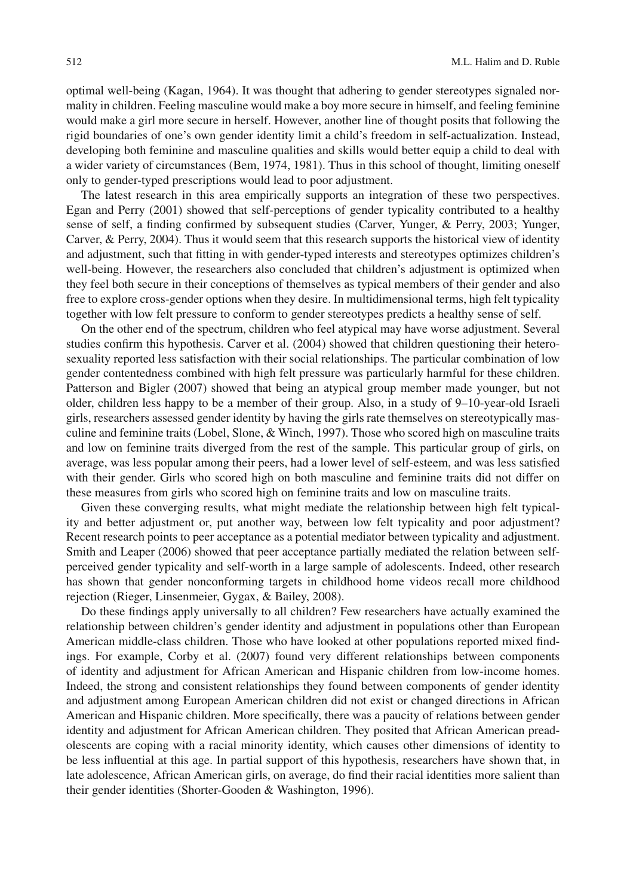optimal well-being (Kagan, [1964\)](#page-26-23). It was thought that adhering to gender stereotypes signaled normality in children. Feeling masculine would make a boy more secure in himself, and feeling feminine would make a girl more secure in herself. However, another line of thought posits that following the rigid boundaries of one's own gender identity limit a child's freedom in self-actualization. Instead, developing both feminine and masculine qualities and skills would better equip a child to deal with a wider variety of circumstances (Bem, [1974,](#page-23-5) [1981\)](#page-24-12). Thus in this school of thought, limiting oneself only to gender-typed prescriptions would lead to poor adjustment.

The latest research in this area empirically supports an integration of these two perspectives. Egan and Perry [\(2001\)](#page-25-2) showed that self-perceptions of gender typicality contributed to a healthy sense of self, a finding confirmed by subsequent studies (Carver, Yunger, & Perry, [2003;](#page-24-16) Yunger, Carver, & Perry, [2004\)](#page-30-3). Thus it would seem that this research supports the historical view of identity and adjustment, such that fitting in with gender-typed interests and stereotypes optimizes children's well-being. However, the researchers also concluded that children's adjustment is optimized when they feel both secure in their conceptions of themselves as typical members of their gender and also free to explore cross-gender options when they desire. In multidimensional terms, high felt typicality together with low felt pressure to conform to gender stereotypes predicts a healthy sense of self.

On the other end of the spectrum, children who feel atypical may have worse adjustment. Several studies confirm this hypothesis. Carver et al. [\(2004\)](#page-24-4) showed that children questioning their heterosexuality reported less satisfaction with their social relationships. The particular combination of low gender contentedness combined with high felt pressure was particularly harmful for these children. Patterson and Bigler [\(2007\)](#page-27-17) showed that being an atypical group member made younger, but not older, children less happy to be a member of their group. Also, in a study of 9–10-year-old Israeli girls, researchers assessed gender identity by having the girls rate themselves on stereotypically masculine and feminine traits (Lobel, Slone, & Winch, [1997\)](#page-26-24). Those who scored high on masculine traits and low on feminine traits diverged from the rest of the sample. This particular group of girls, on average, was less popular among their peers, had a lower level of self-esteem, and was less satisfied with their gender. Girls who scored high on both masculine and feminine traits did not differ on these measures from girls who scored high on feminine traits and low on masculine traits.

Given these converging results, what might mediate the relationship between high felt typicality and better adjustment or, put another way, between low felt typicality and poor adjustment? Recent research points to peer acceptance as a potential mediator between typicality and adjustment. Smith and Leaper [\(2006\)](#page-29-20) showed that peer acceptance partially mediated the relation between selfperceived gender typicality and self-worth in a large sample of adolescents. Indeed, other research has shown that gender nonconforming targets in childhood home videos recall more childhood rejection (Rieger, Linsenmeier, Gygax, & Bailey, [2008\)](#page-28-19).

Do these findings apply universally to all children? Few researchers have actually examined the relationship between children's gender identity and adjustment in populations other than European American middle-class children. Those who have looked at other populations reported mixed findings. For example, Corby et al. [\(2007\)](#page-24-5) found very different relationships between components of identity and adjustment for African American and Hispanic children from low-income homes. Indeed, the strong and consistent relationships they found between components of gender identity and adjustment among European American children did not exist or changed directions in African American and Hispanic children. More specifically, there was a paucity of relations between gender identity and adjustment for African American children. They posited that African American preadolescents are coping with a racial minority identity, which causes other dimensions of identity to be less influential at this age. In partial support of this hypothesis, researchers have shown that, in late adolescence, African American girls, on average, do find their racial identities more salient than their gender identities (Shorter-Gooden & Washington, [1996\)](#page-29-21).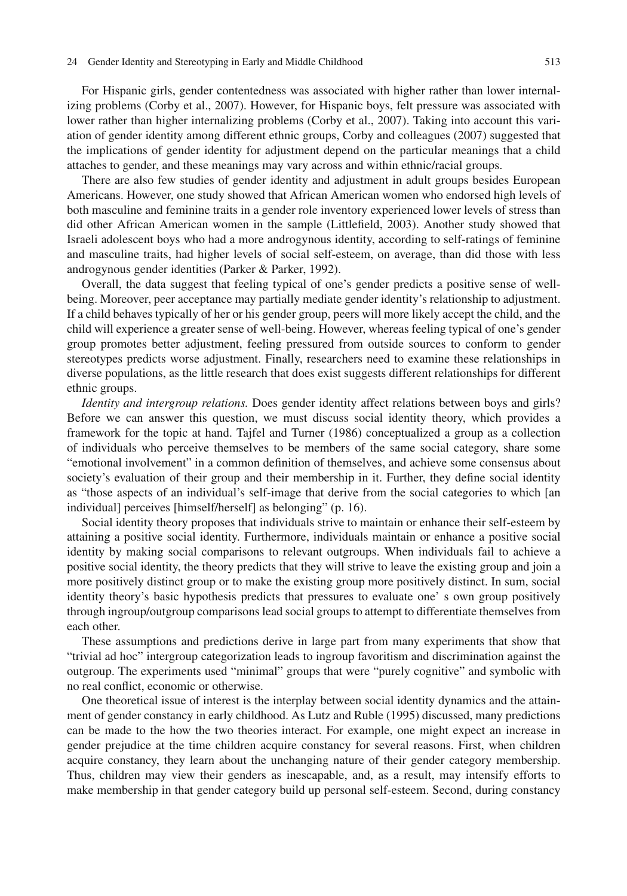#### 24 Gender Identity and Stereotyping in Early and Middle Childhood 513

For Hispanic girls, gender contentedness was associated with higher rather than lower internalizing problems (Corby et al., [2007\)](#page-24-5). However, for Hispanic boys, felt pressure was associated with lower rather than higher internalizing problems (Corby et al., [2007\)](#page-24-5). Taking into account this variation of gender identity among different ethnic groups, Corby and colleagues (2007) suggested that the implications of gender identity for adjustment depend on the particular meanings that a child attaches to gender, and these meanings may vary across and within ethnic/racial groups.

There are also few studies of gender identity and adjustment in adult groups besides European Americans. However, one study showed that African American women who endorsed high levels of both masculine and feminine traits in a gender role inventory experienced lower levels of stress than did other African American women in the sample (Littlefield, [2003\)](#page-26-25). Another study showed that Israeli adolescent boys who had a more androgynous identity, according to self-ratings of feminine and masculine traits, had higher levels of social self-esteem, on average, than did those with less androgynous gender identities (Parker & Parker, [1992\)](#page-27-18).

Overall, the data suggest that feeling typical of one's gender predicts a positive sense of wellbeing. Moreover, peer acceptance may partially mediate gender identity's relationship to adjustment. If a child behaves typically of her or his gender group, peers will more likely accept the child, and the child will experience a greater sense of well-being. However, whereas feeling typical of one's gender group promotes better adjustment, feeling pressured from outside sources to conform to gender stereotypes predicts worse adjustment. Finally, researchers need to examine these relationships in diverse populations, as the little research that does exist suggests different relationships for different ethnic groups.

*Identity and intergroup relations.* Does gender identity affect relations between boys and girls? Before we can answer this question, we must discuss social identity theory, which provides a framework for the topic at hand. Tajfel and Turner [\(1986\)](#page-29-1) conceptualized a group as a collection of individuals who perceive themselves to be members of the same social category, share some "emotional involvement" in a common definition of themselves, and achieve some consensus about society's evaluation of their group and their membership in it. Further, they define social identity as "those aspects of an individual's self-image that derive from the social categories to which [an individual] perceives [himself/herself] as belonging" (p. 16).

Social identity theory proposes that individuals strive to maintain or enhance their self-esteem by attaining a positive social identity. Furthermore, individuals maintain or enhance a positive social identity by making social comparisons to relevant outgroups. When individuals fail to achieve a positive social identity, the theory predicts that they will strive to leave the existing group and join a more positively distinct group or to make the existing group more positively distinct. In sum, social identity theory's basic hypothesis predicts that pressures to evaluate one' s own group positively through ingroup/outgroup comparisons lead social groups to attempt to differentiate themselves from each other.

These assumptions and predictions derive in large part from many experiments that show that "trivial ad hoc" intergroup categorization leads to ingroup favoritism and discrimination against the outgroup. The experiments used "minimal" groups that were "purely cognitive" and symbolic with no real conflict, economic or otherwise.

One theoretical issue of interest is the interplay between social identity dynamics and the attainment of gender constancy in early childhood. As Lutz and Ruble [\(1995\)](#page-26-26) discussed, many predictions can be made to the how the two theories interact. For example, one might expect an increase in gender prejudice at the time children acquire constancy for several reasons. First, when children acquire constancy, they learn about the unchanging nature of their gender category membership. Thus, children may view their genders as inescapable, and, as a result, may intensify efforts to make membership in that gender category build up personal self-esteem. Second, during constancy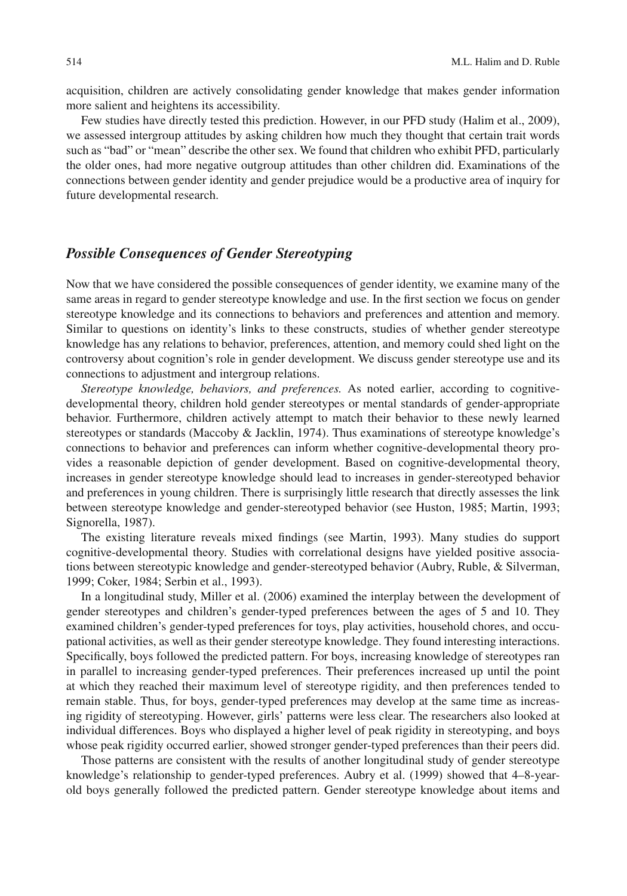acquisition, children are actively consolidating gender knowledge that makes gender information more salient and heightens its accessibility.

Few studies have directly tested this prediction. However, in our PFD study (Halim et al., [2009\)](#page-25-24), we assessed intergroup attitudes by asking children how much they thought that certain trait words such as "bad" or "mean" describe the other sex. We found that children who exhibit PFD, particularly the older ones, had more negative outgroup attitudes than other children did. Examinations of the connections between gender identity and gender prejudice would be a productive area of inquiry for future developmental research.

# *Possible Consequences of Gender Stereotyping*

Now that we have considered the possible consequences of gender identity, we examine many of the same areas in regard to gender stereotype knowledge and use. In the first section we focus on gender stereotype knowledge and its connections to behaviors and preferences and attention and memory. Similar to questions on identity's links to these constructs, studies of whether gender stereotype knowledge has any relations to behavior, preferences, attention, and memory could shed light on the controversy about cognition's role in gender development. We discuss gender stereotype use and its connections to adjustment and intergroup relations.

*Stereotype knowledge, behaviors, and preferences.* As noted earlier, according to cognitivedevelopmental theory, children hold gender stereotypes or mental standards of gender-appropriate behavior. Furthermore, children actively attempt to match their behavior to these newly learned stereotypes or standards (Maccoby & Jacklin, [1974\)](#page-27-19). Thus examinations of stereotype knowledge's connections to behavior and preferences can inform whether cognitive-developmental theory provides a reasonable depiction of gender development. Based on cognitive-developmental theory, increases in gender stereotype knowledge should lead to increases in gender-stereotyped behavior and preferences in young children. There is surprisingly little research that directly assesses the link between stereotype knowledge and gender-stereotyped behavior (see Huston, [1985;](#page-26-7) Martin, [1993;](#page-27-20) Signorella, [1987\)](#page-29-22).

The existing literature reveals mixed findings (see Martin, [1993\)](#page-27-20). Many studies do support cognitive-developmental theory. Studies with correlational designs have yielded positive associations between stereotypic knowledge and gender-stereotyped behavior (Aubry, Ruble, & Silverman, [1999;](#page-23-6) Coker, [1984;](#page-24-17) Serbin et al., 1993).

In a longitudinal study, Miller et al. [\(2006\)](#page-27-4) examined the interplay between the development of gender stereotypes and children's gender-typed preferences between the ages of 5 and 10. They examined children's gender-typed preferences for toys, play activities, household chores, and occupational activities, as well as their gender stereotype knowledge. They found interesting interactions. Specifically, boys followed the predicted pattern. For boys, increasing knowledge of stereotypes ran in parallel to increasing gender-typed preferences. Their preferences increased up until the point at which they reached their maximum level of stereotype rigidity, and then preferences tended to remain stable. Thus, for boys, gender-typed preferences may develop at the same time as increasing rigidity of stereotyping. However, girls' patterns were less clear. The researchers also looked at individual differences. Boys who displayed a higher level of peak rigidity in stereotyping, and boys whose peak rigidity occurred earlier, showed stronger gender-typed preferences than their peers did.

Those patterns are consistent with the results of another longitudinal study of gender stereotype knowledge's relationship to gender-typed preferences. Aubry et al. [\(1999\)](#page-23-6) showed that 4–8-yearold boys generally followed the predicted pattern. Gender stereotype knowledge about items and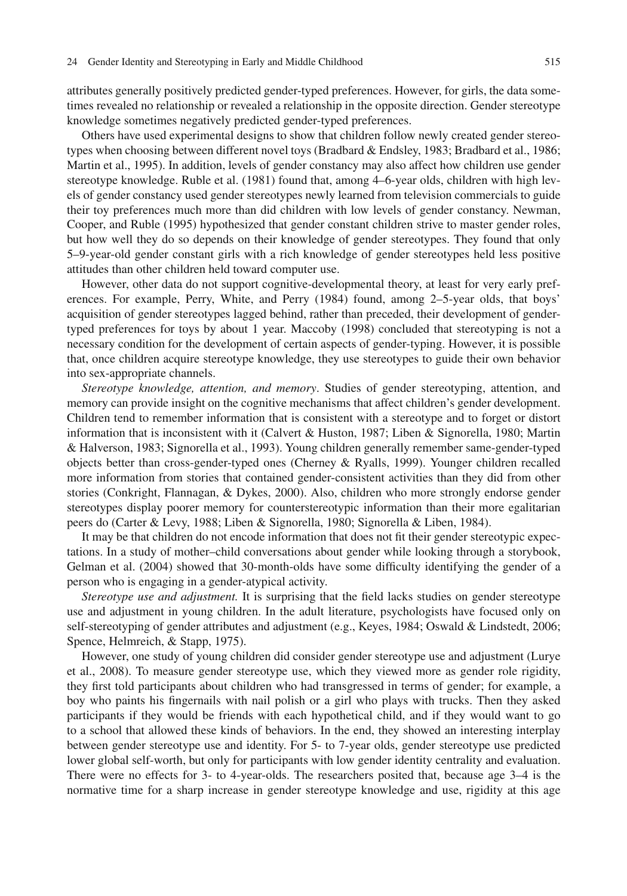attributes generally positively predicted gender-typed preferences. However, for girls, the data sometimes revealed no relationship or revealed a relationship in the opposite direction. Gender stereotype knowledge sometimes negatively predicted gender-typed preferences.

Others have used experimental designs to show that children follow newly created gender stereotypes when choosing between different novel toys (Bradbard & Endsley, [1983;](#page-24-15) Bradbard et al., [1986;](#page-24-14) Martin et al., [1995\)](#page-27-16). In addition, levels of gender constancy may also affect how children use gender stereotype knowledge. Ruble et al. [\(1981\)](#page-28-17) found that, among 4–6-year olds, children with high levels of gender constancy used gender stereotypes newly learned from television commercials to guide their toy preferences much more than did children with low levels of gender constancy. Newman, Cooper, and Ruble [\(1995\)](#page-27-2) hypothesized that gender constant children strive to master gender roles, but how well they do so depends on their knowledge of gender stereotypes. They found that only 5–9-year-old gender constant girls with a rich knowledge of gender stereotypes held less positive attitudes than other children held toward computer use.

However, other data do not support cognitive-developmental theory, at least for very early preferences. For example, Perry, White, and Perry [\(1984\)](#page-28-20) found, among 2–5-year olds, that boys' acquisition of gender stereotypes lagged behind, rather than preceded, their development of gendertyped preferences for toys by about 1 year. Maccoby [\(1998\)](#page-26-0) concluded that stereotyping is not a necessary condition for the development of certain aspects of gender-typing. However, it is possible that, once children acquire stereotype knowledge, they use stereotypes to guide their own behavior into sex-appropriate channels.

*Stereotype knowledge, attention, and memory*. Studies of gender stereotyping, attention, and memory can provide insight on the cognitive mechanisms that affect children's gender development. Children tend to remember information that is consistent with a stereotype and to forget or distort information that is inconsistent with it (Calvert & Huston, [1987;](#page-24-18) Liben & Signorella, [1980;](#page-26-19) Martin & Halverson, [1983;](#page-27-13) Signorella et al., [1993\)](#page-29-23). Young children generally remember same-gender-typed objects better than cross-gender-typed ones (Cherney & Ryalls, [1999\)](#page-24-19). Younger children recalled more information from stories that contained gender-consistent activities than they did from other stories (Conkright, Flannagan, & Dykes, [2000\)](#page-24-20). Also, children who more strongly endorse gender stereotypes display poorer memory for counterstereotypic information than their more egalitarian peers do (Carter & Levy, [1988;](#page-24-21) Liben & Signorella, [1980;](#page-26-19) Signorella & Liben, [1984\)](#page-29-12).

It may be that children do not encode information that does not fit their gender stereotypic expectations. In a study of mother–child conversations about gender while looking through a storybook, Gelman et al. [\(2004\)](#page-25-12) showed that 30-month-olds have some difficulty identifying the gender of a person who is engaging in a gender-atypical activity.

*Stereotype use and adjustment.* It is surprising that the field lacks studies on gender stereotype use and adjustment in young children. In the adult literature, psychologists have focused only on self-stereotyping of gender attributes and adjustment (e.g., Keyes, [1984;](#page-26-27) Oswald & Lindstedt, [2006;](#page-27-21) Spence, Helmreich, & Stapp, [1975\)](#page-29-24).

However, one study of young children did consider gender stereotype use and adjustment (Lurye et al., [2008\)](#page-26-11). To measure gender stereotype use, which they viewed more as gender role rigidity, they first told participants about children who had transgressed in terms of gender; for example, a boy who paints his fingernails with nail polish or a girl who plays with trucks. Then they asked participants if they would be friends with each hypothetical child, and if they would want to go to a school that allowed these kinds of behaviors. In the end, they showed an interesting interplay between gender stereotype use and identity. For 5- to 7-year olds, gender stereotype use predicted lower global self-worth, but only for participants with low gender identity centrality and evaluation. There were no effects for 3- to 4-year-olds. The researchers posited that, because age 3–4 is the normative time for a sharp increase in gender stereotype knowledge and use, rigidity at this age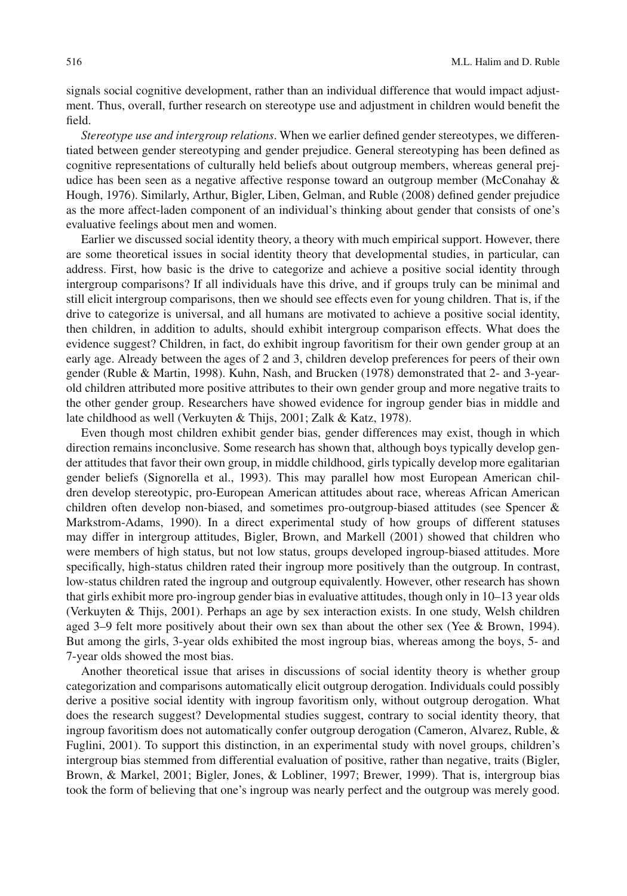signals social cognitive development, rather than an individual difference that would impact adjustment. Thus, overall, further research on stereotype use and adjustment in children would benefit the field.

*Stereotype use and intergroup relations*. When we earlier defined gender stereotypes, we differentiated between gender stereotyping and gender prejudice. General stereotyping has been defined as cognitive representations of culturally held beliefs about outgroup members, whereas general prejudice has been seen as a negative affective response toward an outgroup member (McConahay & Hough, [1976\)](#page-27-22). Similarly, Arthur, Bigler, Liben, Gelman, and Ruble [\(2008\)](#page-23-7) defined gender prejudice as the more affect-laden component of an individual's thinking about gender that consists of one's evaluative feelings about men and women.

Earlier we discussed social identity theory, a theory with much empirical support. However, there are some theoretical issues in social identity theory that developmental studies, in particular, can address. First, how basic is the drive to categorize and achieve a positive social identity through intergroup comparisons? If all individuals have this drive, and if groups truly can be minimal and still elicit intergroup comparisons, then we should see effects even for young children. That is, if the drive to categorize is universal, and all humans are motivated to achieve a positive social identity, then children, in addition to adults, should exhibit intergroup comparison effects. What does the evidence suggest? Children, in fact, do exhibit ingroup favoritism for their own gender group at an early age. Already between the ages of 2 and 3, children develop preferences for peers of their own gender (Ruble & Martin, [1998\)](#page-28-6). Kuhn, Nash, and Brucken [\(1978\)](#page-26-28) demonstrated that 2- and 3-yearold children attributed more positive attributes to their own gender group and more negative traits to the other gender group. Researchers have showed evidence for ingroup gender bias in middle and late childhood as well (Verkuyten & Thijs, [2001;](#page-29-10) Zalk & Katz, [1978\)](#page-30-4).

Even though most children exhibit gender bias, gender differences may exist, though in which direction remains inconclusive. Some research has shown that, although boys typically develop gender attitudes that favor their own group, in middle childhood, girls typically develop more egalitarian gender beliefs (Signorella et al., [1993\)](#page-29-23). This may parallel how most European American children develop stereotypic, pro-European American attitudes about race, whereas African American children often develop non-biased, and sometimes pro-outgroup-biased attitudes (see Spencer & Markstrom-Adams, [1990\)](#page-29-25). In a direct experimental study of how groups of different statuses may differ in intergroup attitudes, Bigler, Brown, and Markell [\(2001\)](#page-24-22) showed that children who were members of high status, but not low status, groups developed ingroup-biased attitudes. More specifically, high-status children rated their ingroup more positively than the outgroup. In contrast, low-status children rated the ingroup and outgroup equivalently. However, other research has shown that girls exhibit more pro-ingroup gender bias in evaluative attitudes, though only in 10–13 year olds (Verkuyten & Thijs, [2001\)](#page-29-10). Perhaps an age by sex interaction exists. In one study, Welsh children aged 3–9 felt more positively about their own sex than about the other sex (Yee & Brown, [1994\)](#page-30-5). But among the girls, 3-year olds exhibited the most ingroup bias, whereas among the boys, 5- and 7-year olds showed the most bias.

Another theoretical issue that arises in discussions of social identity theory is whether group categorization and comparisons automatically elicit outgroup derogation. Individuals could possibly derive a positive social identity with ingroup favoritism only, without outgroup derogation. What does the research suggest? Developmental studies suggest, contrary to social identity theory, that ingroup favoritism does not automatically confer outgroup derogation (Cameron, Alvarez, Ruble,  $\&$ Fuglini, 2001). To support this distinction, in an experimental study with novel groups, children's intergroup bias stemmed from differential evaluation of positive, rather than negative, traits (Bigler, Brown, & Markel, 2001; Bigler, Jones, & Lobliner, [1997;](#page-24-23) Brewer, [1999\)](#page-24-24). That is, intergroup bias took the form of believing that one's ingroup was nearly perfect and the outgroup was merely good.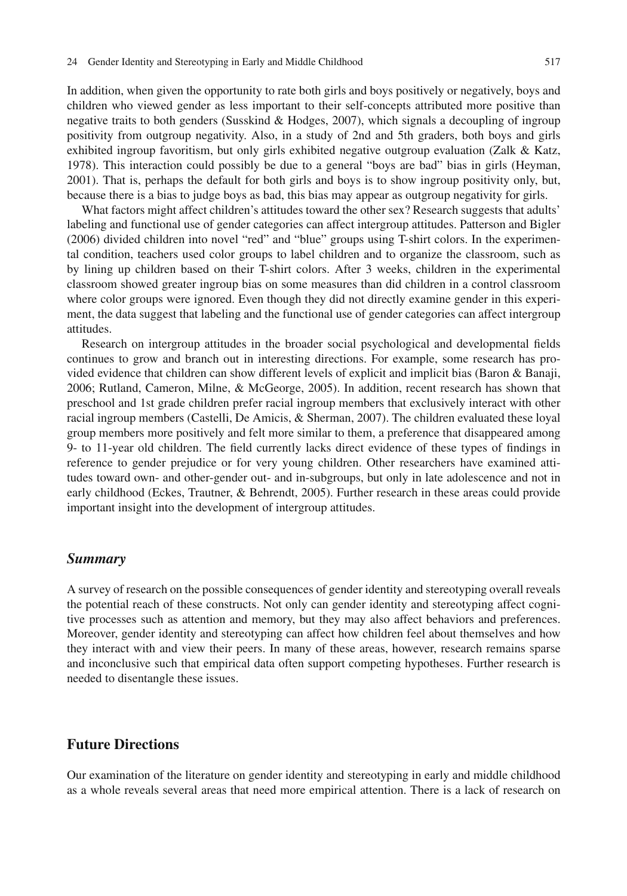In addition, when given the opportunity to rate both girls and boys positively or negatively, boys and children who viewed gender as less important to their self-concepts attributed more positive than negative traits to both genders (Susskind & Hodges, [2007\)](#page-29-26), which signals a decoupling of ingroup positivity from outgroup negativity. Also, in a study of 2nd and 5th graders, both boys and girls exhibited ingroup favoritism, but only girls exhibited negative outgroup evaluation (Zalk & Katz, [1978\)](#page-30-4). This interaction could possibly be due to a general "boys are bad" bias in girls (Heyman, [2001\)](#page-25-25). That is, perhaps the default for both girls and boys is to show ingroup positivity only, but, because there is a bias to judge boys as bad, this bias may appear as outgroup negativity for girls.

What factors might affect children's attitudes toward the other sex? Research suggests that adults' labeling and functional use of gender categories can affect intergroup attitudes. Patterson and Bigler [\(2006\)](#page-27-21) divided children into novel "red" and "blue" groups using T-shirt colors. In the experimental condition, teachers used color groups to label children and to organize the classroom, such as by lining up children based on their T-shirt colors. After 3 weeks, children in the experimental classroom showed greater ingroup bias on some measures than did children in a control classroom where color groups were ignored. Even though they did not directly examine gender in this experiment, the data suggest that labeling and the functional use of gender categories can affect intergroup attitudes.

Research on intergroup attitudes in the broader social psychological and developmental fields continues to grow and branch out in interesting directions. For example, some research has provided evidence that children can show different levels of explicit and implicit bias (Baron & Banaji, [2006;](#page-23-1) Rutland, Cameron, Milne, & McGeorge, [2005\)](#page-28-21). In addition, recent research has shown that preschool and 1st grade children prefer racial ingroup members that exclusively interact with other racial ingroup members (Castelli, De Amicis, & Sherman, 2007). The children evaluated these loyal group members more positively and felt more similar to them, a preference that disappeared among 9- to 11-year old children. The field currently lacks direct evidence of these types of findings in reference to gender prejudice or for very young children. Other researchers have examined attitudes toward own- and other-gender out- and in-subgroups, but only in late adolescence and not in early childhood (Eckes, Trautner, & Behrendt, [2005\)](#page-25-26). Further research in these areas could provide important insight into the development of intergroup attitudes.

#### *Summary*

A survey of research on the possible consequences of gender identity and stereotyping overall reveals the potential reach of these constructs. Not only can gender identity and stereotyping affect cognitive processes such as attention and memory, but they may also affect behaviors and preferences. Moreover, gender identity and stereotyping can affect how children feel about themselves and how they interact with and view their peers. In many of these areas, however, research remains sparse and inconclusive such that empirical data often support competing hypotheses. Further research is needed to disentangle these issues.

#### **Future Directions**

Our examination of the literature on gender identity and stereotyping in early and middle childhood as a whole reveals several areas that need more empirical attention. There is a lack of research on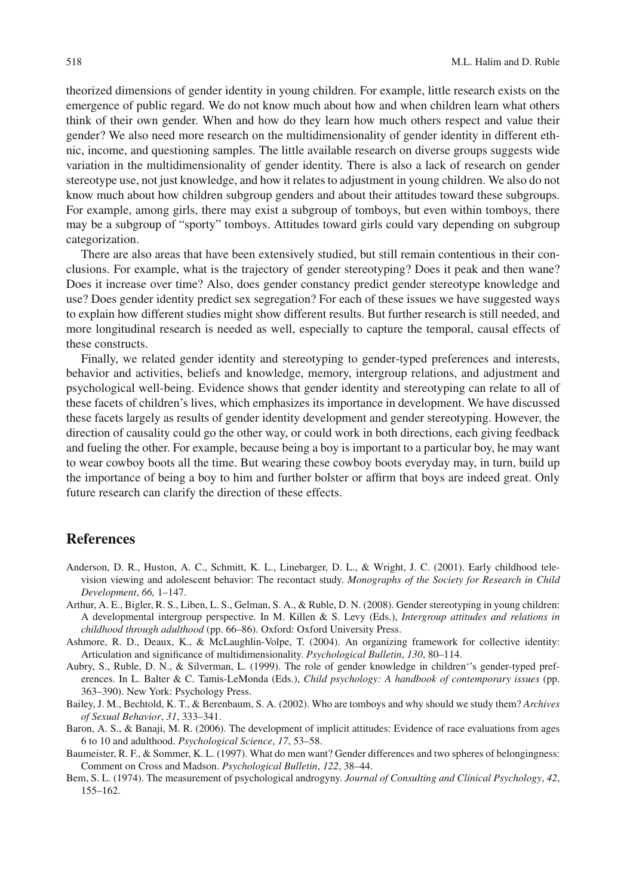theorized dimensions of gender identity in young children. For example, little research exists on the emergence of public regard. We do not know much about how and when children learn what others think of their own gender. When and how do they learn how much others respect and value their gender? We also need more research on the multidimensionality of gender identity in different ethnic, income, and questioning samples. The little available research on diverse groups suggests wide variation in the multidimensionality of gender identity. There is also a lack of research on gender stereotype use, not just knowledge, and how it relates to adjustment in young children. We also do not know much about how children subgroup genders and about their attitudes toward these subgroups. For example, among girls, there may exist a subgroup of tomboys, but even within tomboys, there may be a subgroup of "sporty" tomboys. Attitudes toward girls could vary depending on subgroup categorization.

There are also areas that have been extensively studied, but still remain contentious in their conclusions. For example, what is the trajectory of gender stereotyping? Does it peak and then wane? Does it increase over time? Also, does gender constancy predict gender stereotype knowledge and use? Does gender identity predict sex segregation? For each of these issues we have suggested ways to explain how different studies might show different results. But further research is still needed, and more longitudinal research is needed as well, especially to capture the temporal, causal effects of these constructs.

Finally, we related gender identity and stereotyping to gender-typed preferences and interests, behavior and activities, beliefs and knowledge, memory, intergroup relations, and adjustment and psychological well-being. Evidence shows that gender identity and stereotyping can relate to all of these facets of children's lives, which emphasizes its importance in development. We have discussed these facets largely as results of gender identity development and gender stereotyping. However, the direction of causality could go the other way, or could work in both directions, each giving feedback and fueling the other. For example, because being a boy is important to a particular boy, he may want to wear cowboy boots all the time. But wearing these cowboy boots everyday may, in turn, build up the importance of being a boy to him and further bolster or affirm that boys are indeed great. Only future research can clarify the direction of these effects.

#### **References**

- Anderson, D. R., Huston, A. C., Schmitt, K. L., Linebarger, D. L., & Wright, J. C. (2001). Early childhood television viewing and adolescent behavior: The recontact study. *Monographs of the Society for Research in Child Development*, *66,* 1–147.
- <span id="page-23-3"></span>Arthur, A. E., Bigler, R. S., Liben, L. S., Gelman, S. A., & Ruble, D. N. (2008). Gender stereotyping in young children: A developmental intergroup perspective. In M. Killen & S. Levy (Eds.), *Intergroup attitudes and relations in childhood through adulthood* (pp. 66–86). Oxford: Oxford University Press.
- <span id="page-23-7"></span>Ashmore, R. D., Deaux, K., & McLaughlin-Volpe, T. (2004). An organizing framework for collective identity: Articulation and significance of multidimensionality. *Psychological Bulletin*, *130*, 80–114.
- <span id="page-23-0"></span>Aubry, S., Ruble, D. N., & Silverman, L. (1999). The role of gender knowledge in children''s gender-typed preferences. In L. Balter & C. Tamis-LeMonda (Eds.), *Child psychology: A handbook of contemporary issues* (pp. 363–390). New York: Psychology Press.
- <span id="page-23-6"></span>Bailey, J. M., Bechtold, K. T., & Berenbaum, S. A. (2002). Who are tomboys and why should we study them? *Archives of Sexual Behavior*, *31*, 333–341.
- <span id="page-23-4"></span>Baron, A. S., & Banaji, M. R. (2006). The development of implicit attitudes: Evidence of race evaluations from ages 6 to 10 and adulthood. *Psychological Science*, *17*, 53–58.
- <span id="page-23-1"></span>Baumeister, R. F., & Sommer, K. L. (1997). What do men want? Gender differences and two spheres of belongingness: Comment on Cross and Madson. *Psychological Bulletin*, *122*, 38–44.
- <span id="page-23-5"></span><span id="page-23-2"></span>Bem, S. L. (1974). The measurement of psychological androgyny. *Journal of Consulting and Clinical Psychology*, *42*, 155–162.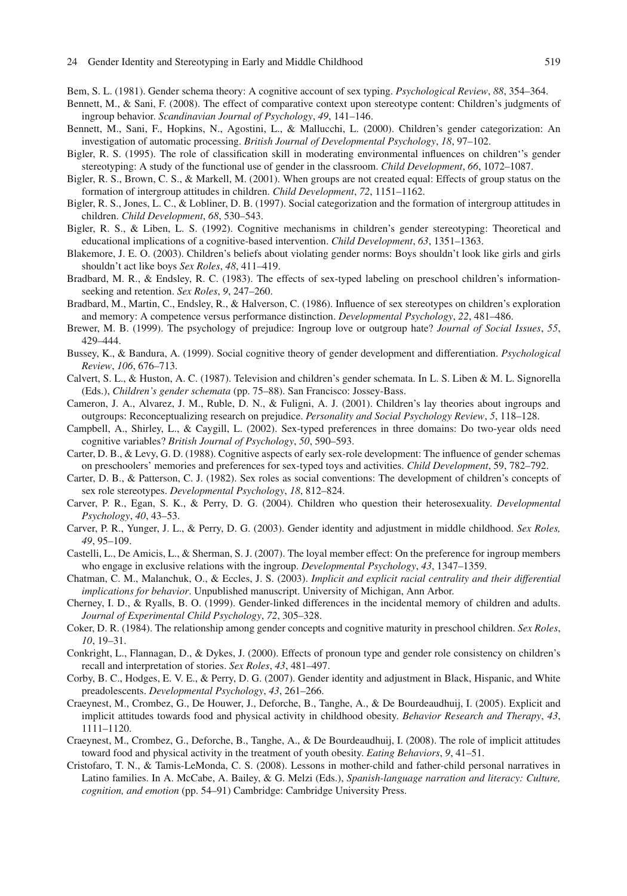Bem, S. L. (1981). Gender schema theory: A cognitive account of sex typing. *Psychological Review*, *88*, 354–364.

- <span id="page-24-12"></span>Bennett, M., & Sani, F. (2008). The effect of comparative context upon stereotype content: Children's judgments of ingroup behavior. *Scandinavian Journal of Psychology*, *49*, 141–146.
- <span id="page-24-7"></span>Bennett, M., Sani, F., Hopkins, N., Agostini, L., & Mallucchi, L. (2000). Children's gender categorization: An investigation of automatic processing. *British Journal of Developmental Psychology*, *18*, 97–102.
- <span id="page-24-1"></span>Bigler, R. S. (1995). The role of classification skill in moderating environmental influences on children''s gender stereotyping: A study of the functional use of gender in the classroom. *Child Development*, *66*, 1072–1087.
- <span id="page-24-10"></span>Bigler, R. S., Brown, C. S., & Markell, M. (2001). When groups are not created equal: Effects of group status on the formation of intergroup attitudes in children. *Child Development*, *72*, 1151–1162.
- <span id="page-24-22"></span>Bigler, R. S., Jones, L. C., & Lobliner, D. B. (1997). Social categorization and the formation of intergroup attitudes in children. *Child Development*, *68*, 530–543.
- <span id="page-24-23"></span>Bigler, R. S., & Liben, L. S. (1992). Cognitive mechanisms in children's gender stereotyping: Theoretical and educational implications of a cognitive-based intervention. *Child Development*, *63*, 1351–1363.
- <span id="page-24-11"></span>Blakemore, J. E. O. (2003). Children's beliefs about violating gender norms: Boys shouldn't look like girls and girls shouldn't act like boys *Sex Roles*, *48*, 411–419.
- <span id="page-24-9"></span>Bradbard, M. R., & Endsley, R. C. (1983). The effects of sex-typed labeling on preschool children's informationseeking and retention. *Sex Roles*, *9*, 247–260.
- <span id="page-24-15"></span>Bradbard, M., Martin, C., Endsley, R., & Halverson, C. (1986). Influence of sex stereotypes on children's exploration and memory: A competence versus performance distinction. *Developmental Psychology*, *22*, 481–486.
- <span id="page-24-14"></span>Brewer, M. B. (1999). The psychology of prejudice: Ingroup love or outgroup hate? *Journal of Social Issues*, *55*, 429–444.
- <span id="page-24-24"></span>Bussey, K., & Bandura, A. (1999). Social cognitive theory of gender development and differentiation. *Psychological Review*, *106*, 676–713.
- <span id="page-24-13"></span>Calvert, S. L., & Huston, A. C. (1987). Television and children's gender schemata. In L. S. Liben & M. L. Signorella (Eds.), *Children's gender schemata* (pp. 75–88). San Francisco: Jossey-Bass.
- <span id="page-24-18"></span>Cameron, J. A., Alvarez, J. M., Ruble, D. N., & Fuligni, A. J. (2001). Children's lay theories about ingroups and outgroups: Reconceptualizing research on prejudice. *Personality and Social Psychology Review*, *5*, 118–128.
- Campbell, A., Shirley, L., & Caygill, L. (2002). Sex-typed preferences in three domains: Do two-year olds need cognitive variables? *British Journal of Psychology*, *50*, 590–593.
- <span id="page-24-0"></span>Carter, D. B., & Levy, G. D. (1988). Cognitive aspects of early sex-role development: The influence of gender schemas on preschoolers' memories and preferences for sex-typed toys and activities. *Child Development*, 59, 782–792.
- <span id="page-24-21"></span>Carter, D. B., & Patterson, C. J. (1982). Sex roles as social conventions: The development of children's concepts of sex role stereotypes. *Developmental Psychology*, *18*, 812–824.
- <span id="page-24-8"></span>Carver, P. R., Egan, S. K., & Perry, D. G. (2004). Children who question their heterosexuality. *Developmental Psychology*, *40*, 43–53.
- <span id="page-24-4"></span>Carver, P. R., Yunger, J. L., & Perry, D. G. (2003). Gender identity and adjustment in middle childhood. *Sex Roles, 49*, 95–109.
- <span id="page-24-16"></span>Castelli, L., De Amicis, L., & Sherman, S. J. (2007). The loyal member effect: On the preference for ingroup members who engage in exclusive relations with the ingroup. *Developmental Psychology*, *43*, 1347–1359.
- Chatman, C. M., Malanchuk, O., & Eccles, J. S. (2003). *Implicit and explicit racial centrality and their differential implications for behavior*. Unpublished manuscript. University of Michigan, Ann Arbor.
- <span id="page-24-2"></span>Cherney, I. D., & Ryalls, B. O. (1999). Gender-linked differences in the incidental memory of children and adults. *Journal of Experimental Child Psychology*, *72*, 305–328.
- <span id="page-24-19"></span>Coker, D. R. (1984). The relationship among gender concepts and cognitive maturity in preschool children. *Sex Roles*, *10*, 19–31.
- <span id="page-24-17"></span>Conkright, L., Flannagan, D., & Dykes, J. (2000). Effects of pronoun type and gender role consistency on children's recall and interpretation of stories. *Sex Roles*, *43*, 481–497.
- <span id="page-24-20"></span>Corby, B. C., Hodges, E. V. E., & Perry, D. G. (2007). Gender identity and adjustment in Black, Hispanic, and White preadolescents. *Developmental Psychology*, *43*, 261–266.
- <span id="page-24-5"></span>Craeynest, M., Crombez, G., De Houwer, J., Deforche, B., Tanghe, A., & De Bourdeaudhuij, I. (2005). Explicit and implicit attitudes towards food and physical activity in childhood obesity. *Behavior Research and Therapy*, *43*, 1111–1120.
- <span id="page-24-3"></span>Craeynest, M., Crombez, G., Deforche, B., Tanghe, A., & De Bourdeaudhuij, I. (2008). The role of implicit attitudes toward food and physical activity in the treatment of youth obesity. *Eating Behaviors*, *9*, 41–51.
- <span id="page-24-6"></span>Cristofaro, T. N., & Tamis-LeMonda, C. S. (2008). Lessons in mother-child and father-child personal narratives in Latino families. In A. McCabe, A. Bailey, & G. Melzi (Eds.), *Spanish-language narration and literacy: Culture, cognition, and emotion* (pp. 54–91) Cambridge: Cambridge University Press.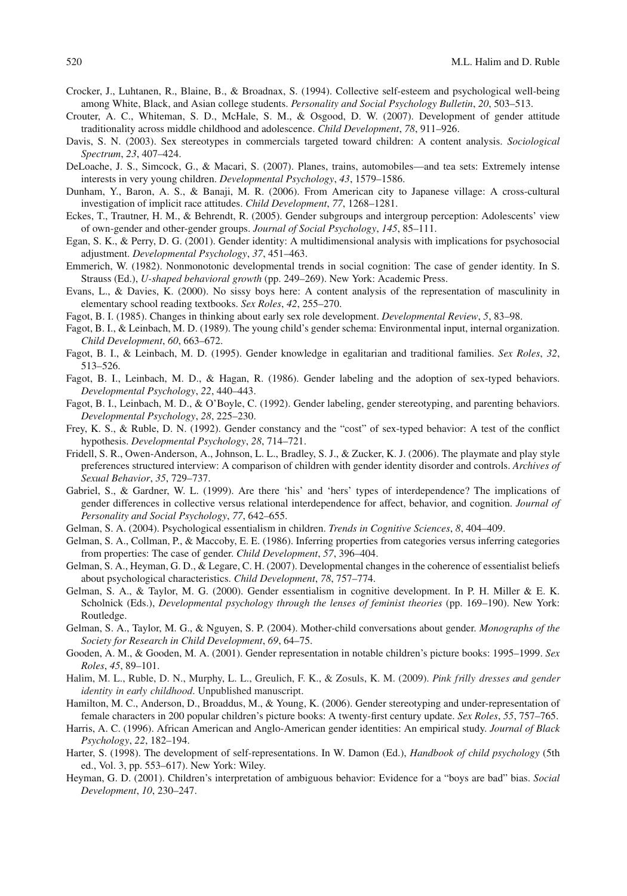- Crocker, J., Luhtanen, R., Blaine, B., & Broadnax, S. (1994). Collective self-esteem and psychological well-being among White, Black, and Asian college students. *Personality and Social Psychology Bulletin*, *20*, 503–513.
- <span id="page-25-1"></span>Crouter, A. C., Whiteman, S. D., McHale, S. M., & Osgood, D. W. (2007). Development of gender attitude traditionality across middle childhood and adolescence. *Child Development*, *78*, 911–926.
- <span id="page-25-5"></span>Davis, S. N. (2003). Sex stereotypes in commercials targeted toward children: A content analysis. *Sociological Spectrum*, *23*, 407–424.
- <span id="page-25-16"></span>DeLoache, J. S., Simcock, G., & Macari, S. (2007). Planes, trains, automobiles—and tea sets: Extremely intense interests in very young children. *Developmental Psychology*, *43*, 1579–1586.
- <span id="page-25-21"></span>Dunham, Y., Baron, A. S., & Banaji, M. R. (2006). From American city to Japanese village: A cross-cultural investigation of implicit race attitudes. *Child Development*, *77*, 1268–1281.
- Eckes, T., Trautner, H. M., & Behrendt, R. (2005). Gender subgroups and intergroup perception: Adolescents' view of own-gender and other-gender groups. *Journal of Social Psychology*, *145*, 85–111.
- <span id="page-25-26"></span>Egan, S. K., & Perry, D. G. (2001). Gender identity: A multidimensional analysis with implications for psychosocial adjustment. *Developmental Psychology*, *37*, 451–463.
- <span id="page-25-2"></span>Emmerich, W. (1982). Nonmonotonic developmental trends in social cognition: The case of gender identity. In S. Strauss (Ed.), *U-shaped behavioral growth* (pp. 249–269). New York: Academic Press.
- <span id="page-25-6"></span>Evans, L., & Davies, K. (2000). No sissy boys here: A content analysis of the representation of masculinity in elementary school reading textbooks. *Sex Roles*, *42*, 255–270.
- <span id="page-25-13"></span>Fagot, B. I. (1985). Changes in thinking about early sex role development. *Developmental Review*, *5*, 83–98.
- <span id="page-25-23"></span>Fagot, B. I., & Leinbach, M. D. (1989). The young child's gender schema: Environmental input, internal organization. *Child Development*, *60*, 663–672.
- <span id="page-25-9"></span>Fagot, B. I., & Leinbach, M. D. (1995). Gender knowledge in egalitarian and traditional families. *Sex Roles*, *32*, 513–526.
- <span id="page-25-11"></span>Fagot, B. I., Leinbach, M. D., & Hagan, R. (1986). Gender labeling and the adoption of sex-typed behaviors. *Developmental Psychology*, *22*, 440–443.
- <span id="page-25-8"></span>Fagot, B. I., Leinbach, M. D., & O'Boyle, C. (1992). Gender labeling, gender stereotyping, and parenting behaviors. *Developmental Psychology*, *28*, 225–230.
- <span id="page-25-10"></span>Frey, K. S., & Ruble, D. N. (1992). Gender constancy and the "cost" of sex-typed behavior: A test of the conflict hypothesis. *Developmental Psychology*, *28*, 714–721.
- <span id="page-25-7"></span>Fridell, S. R., Owen-Anderson, A., Johnson, L. L., Bradley, S. J., & Zucker, K. J. (2006). The playmate and play style preferences structured interview: A comparison of children with gender identity disorder and controls. *Archives of Sexual Behavior*, *35*, 729–737.
- <span id="page-25-22"></span>Gabriel, S., & Gardner, W. L. (1999). Are there 'his' and 'hers' types of interdependence? The implications of gender differences in collective versus relational interdependence for affect, behavior, and cognition. *Journal of Personality and Social Psychology*, *77*, 642–655.
- <span id="page-25-3"></span>Gelman, S. A. (2004). Psychological essentialism in children. *Trends in Cognitive Sciences*, *8*, 404–409.
- <span id="page-25-18"></span>Gelman, S. A., Collman, P., & Maccoby, E. E. (1986). Inferring properties from categories versus inferring categories from properties: The case of gender. *Child Development*, *57*, 396–404.
- <span id="page-25-19"></span>Gelman, S. A., Heyman, G. D., & Legare, C. H. (2007). Developmental changes in the coherence of essentialist beliefs about psychological characteristics. *Child Development*, *78*, 757–774.
- <span id="page-25-17"></span>Gelman, S. A., & Taylor, M. G. (2000). Gender essentialism in cognitive development. In P. H. Miller & E. K. Scholnick (Eds.), *Developmental psychology through the lenses of feminist theories* (pp. 169–190). New York: Routledge.
- <span id="page-25-20"></span>Gelman, S. A., Taylor, M. G., & Nguyen, S. P. (2004). Mother-child conversations about gender. *Monographs of the Society for Research in Child Development*, *69*, 64–75.
- <span id="page-25-12"></span>Gooden, A. M., & Gooden, M. A. (2001). Gender representation in notable children's picture books: 1995–1999. *Sex Roles*, *45*, 89–101.
- <span id="page-25-14"></span>Halim, M. L., Ruble, D. N., Murphy, L. L., Greulich, F. K., & Zosuls, K. M. (2009). *Pink frilly dresses and gender identity in early childhood*. Unpublished manuscript.
- <span id="page-25-24"></span>Hamilton, M. C., Anderson, D., Broaddus, M., & Young, K. (2006). Gender stereotyping and under-representation of female characters in 200 popular children's picture books: A twenty-first century update. *Sex Roles*, *55*, 757–765.
- <span id="page-25-15"></span>Harris, A. C. (1996). African American and Anglo-American gender identities: An empirical study. *Journal of Black Psychology*, *22*, 182–194.
- <span id="page-25-4"></span>Harter, S. (1998). The development of self-representations. In W. Damon (Ed.), *Handbook of child psychology* (5th ed., Vol. 3, pp. 553–617). New York: Wiley.
- <span id="page-25-25"></span><span id="page-25-0"></span>Heyman, G. D. (2001). Children's interpretation of ambiguous behavior: Evidence for a "boys are bad" bias. *Social Development*, *10*, 230–247.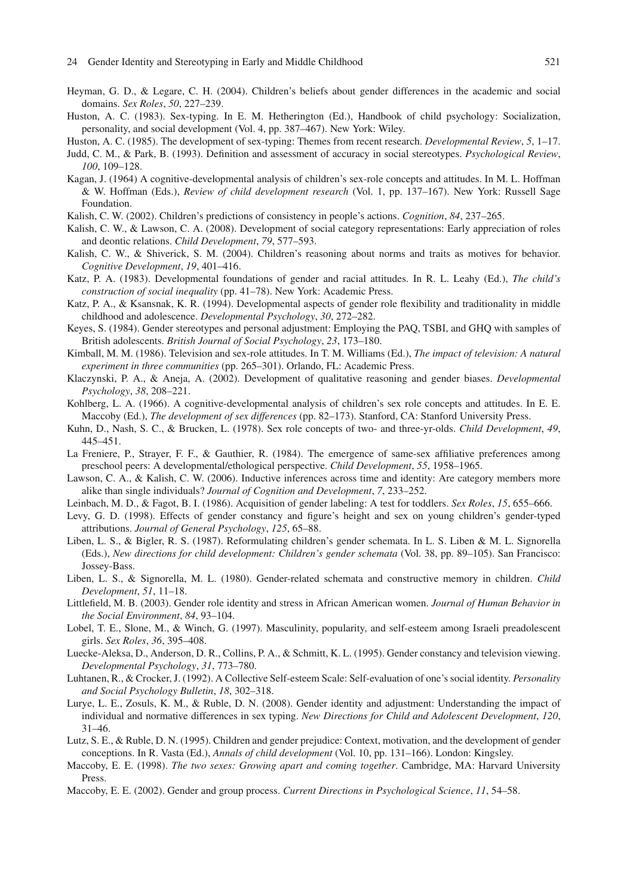- Heyman, G. D., & Legare, C. H. (2004). Children's beliefs about gender differences in the academic and social domains. *Sex Roles*, *50*, 227–239.
- <span id="page-26-9"></span>Huston, A. C. (1983). Sex-typing. In E. M. Hetherington (Ed.), Handbook of child psychology: Socialization, personality, and social development (Vol. 4, pp. 387–467). New York: Wiley.
- <span id="page-26-6"></span>Huston, A. C. (1985). The development of sex-typing: Themes from recent research. *Developmental Review*, *5*, 1–17.
- <span id="page-26-7"></span>Judd, C. M., & Park, B. (1993). Definition and assessment of accuracy in social stereotypes. *Psychological Review*, *100*, 109–128.
- <span id="page-26-4"></span>Kagan, J. (1964) A cognitive-developmental analysis of children's sex-role concepts and attitudes. In M. L. Hoffman & W. Hoffman (Eds.), *Review of child development research* (Vol. 1, pp. 137–167). New York: Russell Sage Foundation.
- <span id="page-26-23"></span>Kalish, C. W. (2002). Children's predictions of consistency in people's actions. *Cognition*, *84*, 237–265.
- <span id="page-26-16"></span>Kalish, C. W., & Lawson, C. A. (2008). Development of social category representations: Early appreciation of roles and deontic relations. *Child Development*, *79*, 577–593.
- <span id="page-26-5"></span>Kalish, C. W., & Shiverick, S. M. (2004). Children's reasoning about norms and traits as motives for behavior. *Cognitive Development*, *19*, 401–416.
- <span id="page-26-17"></span>Katz, P. A. (1983). Developmental foundations of gender and racial attitudes. In R. L. Leahy (Ed.), *The child's construction of social inequality* (pp. 41–78). New York: Academic Press.
- <span id="page-26-12"></span>Katz, P. A., & Ksansnak, K. R. (1994). Developmental aspects of gender role flexibility and traditionality in middle childhood and adolescence. *Developmental Psychology*, *30*, 272–282.
- <span id="page-26-8"></span>Keyes, S. (1984). Gender stereotypes and personal adjustment: Employing the PAQ, TSBI, and GHQ with samples of British adolescents. *British Journal of Social Psychology*, *23*, 173–180.
- <span id="page-26-27"></span>Kimball, M. M. (1986). Television and sex-role attitudes. In T. M. Williams (Ed.), *The impact of television: A natural experiment in three communities* (pp. 265–301). Orlando, FL: Academic Press.
- <span id="page-26-15"></span>Klaczynski, P. A., & Aneja, A. (2002). Development of qualitative reasoning and gender biases. *Developmental Psychology*, *38*, 208–221.
- <span id="page-26-10"></span>Kohlberg, L. A. (1966). A cognitive-developmental analysis of children's sex role concepts and attitudes. In E. E. Maccoby (Ed.), *The development of sex differences* (pp. 82–173). Stanford, CA: Stanford University Press.
- <span id="page-26-1"></span>Kuhn, D., Nash, S. C., & Brucken, L. (1978). Sex role concepts of two- and three-yr-olds. *Child Development*, *49*, 445–451.
- <span id="page-26-28"></span>La Freniere, P., Strayer, F. F., & Gauthier, R. (1984). The emergence of same-sex affiliative preferences among preschool peers: A developmental/ethological perspective. *Child Development*, *55*, 1958–1965.
- <span id="page-26-21"></span>Lawson, C. A., & Kalish, C. W. (2006). Inductive inferences across time and identity: Are category members more alike than single individuals? *Journal of Cognition and Development*, *7*, 233–252.
- <span id="page-26-18"></span>Leinbach, M. D., & Fagot, B. I. (1986). Acquisition of gender labeling: A test for toddlers. *Sex Roles*, *15*, 655–666.
- <span id="page-26-14"></span>Levy, G. D. (1998). Effects of gender constancy and figure's height and sex on young children's gender-typed attributions. *Journal of General Psychology*, *125*, 65–88.
- <span id="page-26-20"></span>Liben, L. S., & Bigler, R. S. (1987). Reformulating children's gender schemata. In L. S. Liben & M. L. Signorella (Eds.), *New directions for child development: Children's gender schemata* (Vol. 38, pp. 89–105). San Francisco: Jossey-Bass.
- <span id="page-26-13"></span>Liben, L. S., & Signorella, M. L. (1980). Gender-related schemata and constructive memory in children. *Child Development*, *51*, 11–18.
- <span id="page-26-19"></span>Littlefield, M. B. (2003). Gender role identity and stress in African American women. *Journal of Human Behavior in the Social Environment*, *84*, 93–104.
- <span id="page-26-25"></span>Lobel, T. E., Slone, M., & Winch, G. (1997). Masculinity, popularity, and self-esteem among Israeli preadolescent girls. *Sex Roles*, *36*, 395–408.
- <span id="page-26-24"></span>Luecke-Aleksa, D., Anderson, D. R., Collins, P. A., & Schmitt, K. L. (1995). Gender constancy and television viewing. *Developmental Psychology*, *31*, 773–780.
- <span id="page-26-22"></span>Luhtanen, R., & Crocker, J. (1992). A Collective Self-esteem Scale: Self-evaluation of one's social identity. *Personality and Social Psychology Bulletin*, *18*, 302–318.
- <span id="page-26-2"></span>Lurye, L. E., Zosuls, K. M., & Ruble, D. N. (2008). Gender identity and adjustment: Understanding the impact of individual and normative differences in sex typing. *New Directions for Child and Adolescent Development*, *120*, 31–46.
- <span id="page-26-11"></span>Lutz, S. E., & Ruble, D. N. (1995). Children and gender prejudice: Context, motivation, and the development of gender conceptions. In R. Vasta (Ed.), *Annals of child development* (Vol. 10, pp. 131–166). London: Kingsley.
- <span id="page-26-26"></span>Maccoby, E. E. (1998). *The two sexes: Growing apart and coming together*. Cambridge, MA: Harvard University Press.
- <span id="page-26-3"></span><span id="page-26-0"></span>Maccoby, E. E. (2002). Gender and group process. *Current Directions in Psychological Science*, *11*, 54–58.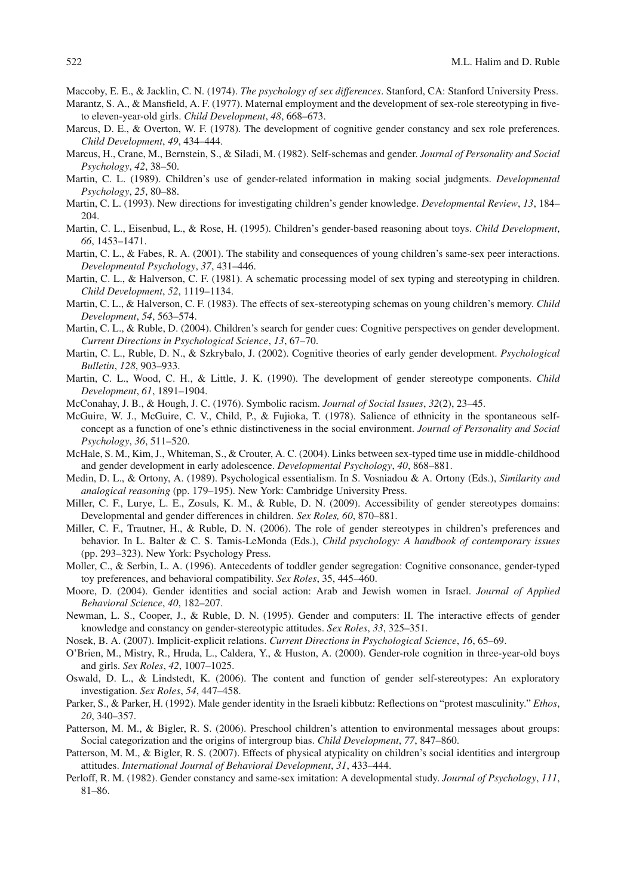- Maccoby, E. E., & Jacklin, C. N. (1974). *The psychology of sex differences*. Stanford, CA: Stanford University Press.
- <span id="page-27-19"></span>Marantz, S. A., & Mansfield, A. F. (1977). Maternal employment and the development of sex-role stereotyping in fiveto eleven-year-old girls. *Child Development*, *48*, 668–673.
- <span id="page-27-8"></span>Marcus, D. E., & Overton, W. F. (1978). The development of cognitive gender constancy and sex role preferences. *Child Development*, *49*, 434–444.
- <span id="page-27-10"></span>Marcus, H., Crane, M., Bernstein, S., & Siladi, M. (1982). Self-schemas and gender. *Journal of Personality and Social Psychology*, *42*, 38–50.
- <span id="page-27-11"></span>Martin, C. L. (1989). Children's use of gender-related information in making social judgments. *Developmental Psychology*, *25*, 80–88.
- <span id="page-27-7"></span>Martin, C. L. (1993). New directions for investigating children's gender knowledge. *Developmental Review*, *13*, 184– 204.
- <span id="page-27-20"></span>Martin, C. L., Eisenbud, L., & Rose, H. (1995). Children's gender-based reasoning about toys. *Child Development*, *66*, 1453–1471.
- <span id="page-27-16"></span>Martin, C. L., & Fabes, R. A. (2001). The stability and consequences of young children's same-sex peer interactions. *Developmental Psychology*, *37*, 431–446.
- <span id="page-27-5"></span>Martin, C. L., & Halverson, C. F. (1981). A schematic processing model of sex typing and stereotyping in children. *Child Development*, *52*, 1119–1134.
- <span id="page-27-12"></span>Martin, C. L., & Halverson, C. F. (1983). The effects of sex-stereotyping schemas on young children's memory. *Child Development*, *54*, 563–574.
- <span id="page-27-13"></span>Martin, C. L., & Ruble, D. (2004). Children's search for gender cues: Cognitive perspectives on gender development. *Current Directions in Psychological Science*, *13*, 67–70.
- Martin, C. L., Ruble, D. N., & Szkrybalo, J. (2002). Cognitive theories of early gender development. *Psychological Bulletin*, *128*, 903–933.
- <span id="page-27-0"></span>Martin, C. L., Wood, C. H., & Little, J. K. (1990). The development of gender stereotype components. *Child Development*, *61*, 1891–1904.
- <span id="page-27-1"></span>McConahay, J. B., & Hough, J. C. (1976). Symbolic racism. *Journal of Social Issues*, *32*(2), 23–45.
- <span id="page-27-22"></span>McGuire, W. J., McGuire, C. V., Child, P., & Fujioka, T. (1978). Salience of ethnicity in the spontaneous selfconcept as a function of one's ethnic distinctiveness in the social environment. *Journal of Personality and Social Psychology*, *36*, 511–520.
- <span id="page-27-3"></span>McHale, S. M., Kim, J., Whiteman, S., & Crouter, A. C. (2004). Links between sex-typed time use in middle-childhood and gender development in early adolescence. *Developmental Psychology*, *40*, 868–881.
- Medin, D. L., & Ortony, A. (1989). Psychological essentialism. In S. Vosniadou & A. Ortony (Eds.), *Similarity and analogical reasoning* (pp. 179–195). New York: Cambridge University Press.
- <span id="page-27-6"></span>Miller, C. F., Lurye, L. E., Zosuls, K. M., & Ruble, D. N. (2009). Accessibility of gender stereotypes domains: Developmental and gender differences in children. *Sex Roles, 60*, 870–881.
- Miller, C. F., Trautner, H., & Ruble, D. N. (2006). The role of gender stereotypes in children's preferences and behavior. In L. Balter & C. S. Tamis-LeMonda (Eds.), *Child psychology: A handbook of contemporary issues* (pp. 293–323). New York: Psychology Press.
- <span id="page-27-4"></span>Moller, C., & Serbin, L. A. (1996). Antecedents of toddler gender segregation: Cognitive consonance, gender-typed toy preferences, and behavioral compatibility. *Sex Roles*, 35, 445–460.
- <span id="page-27-15"></span>Moore, D. (2004). Gender identities and social action: Arab and Jewish women in Israel. *Journal of Applied Behavioral Science*, *40*, 182–207.
- Newman, L. S., Cooper, J., & Ruble, D. N. (1995). Gender and computers: II. The interactive effects of gender knowledge and constancy on gender-stereotypic attitudes. *Sex Roles*, *33*, 325–351.
- <span id="page-27-2"></span>Nosek, B. A. (2007). Implicit-explicit relations. *Current Directions in Psychological Science*, *16*, 65–69.
- O'Brien, M., Mistry, R., Hruda, L., Caldera, Y., & Huston, A. (2000). Gender-role cognition in three-year-old boys and girls. *Sex Roles*, *42*, 1007–1025.
- <span id="page-27-9"></span>Oswald, D. L., & Lindstedt, K. (2006). The content and function of gender self-stereotypes: An exploratory investigation. *Sex Roles*, *54*, 447–458.
- <span id="page-27-21"></span>Parker, S., & Parker, H. (1992). Male gender identity in the Israeli kibbutz: Reflections on "protest masculinity." *Ethos*, *20*, 340–357.
- <span id="page-27-18"></span>Patterson, M. M., & Bigler, R. S. (2006). Preschool children's attention to environmental messages about groups: Social categorization and the origins of intergroup bias. *Child Development*, *77*, 847–860.
- Patterson, M. M., & Bigler, R. S. (2007). Effects of physical atypicality on children's social identities and intergroup attitudes. *International Journal of Behavioral Development*, *31*, 433–444.
- <span id="page-27-17"></span><span id="page-27-14"></span>Perloff, R. M. (1982). Gender constancy and same-sex imitation: A developmental study. *Journal of Psychology*, *111*, 81–86.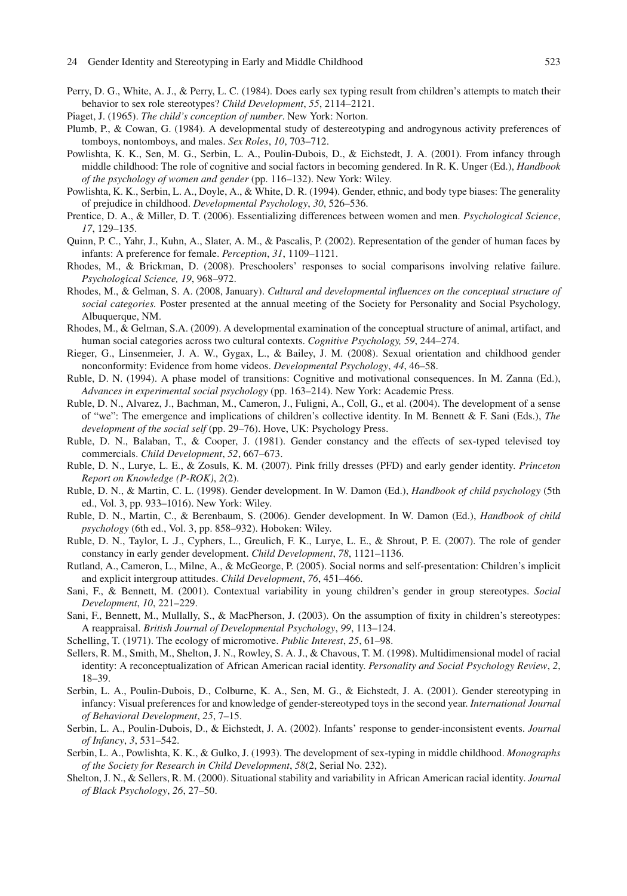- Perry, D. G., White, A. J., & Perry, L. C. (1984). Does early sex typing result from children's attempts to match their behavior to sex role stereotypes? *Child Development*, *55*, 2114–2121.
- <span id="page-28-20"></span>Piaget, J. (1965). *The child's conception of number*. New York: Norton.
- <span id="page-28-2"></span>Plumb, P., & Cowan, G. (1984). A developmental study of destereotyping and androgynous activity preferences of tomboys, nontomboys, and males. *Sex Roles*, *10*, 703–712.
- <span id="page-28-18"></span>Powlishta, K. K., Sen, M. G., Serbin, L. A., Poulin-Dubois, D., & Eichstedt, J. A. (2001). From infancy through middle childhood: The role of cognitive and social factors in becoming gendered. In R. K. Unger (Ed.), *Handbook of the psychology of women and gender* (pp. 116–132). New York: Wiley.
- <span id="page-28-10"></span>Powlishta, K. K., Serbin, L. A., Doyle, A., & White, D. R. (1994). Gender, ethnic, and body type biases: The generality of prejudice in childhood. *Developmental Psychology*, *30*, 526–536.
- Prentice, D. A., & Miller, D. T. (2006). Essentializing differences between women and men. *Psychological Science*, *17*, 129–135.
- <span id="page-28-13"></span>Quinn, P. C., Yahr, J., Kuhn, A., Slater, A. M., & Pascalis, P. (2002). Representation of the gender of human faces by infants: A preference for female. *Perception*, *31*, 1109–1121.
- <span id="page-28-15"></span>Rhodes, M., & Brickman, D. (2008). Preschoolers' responses to social comparisons involving relative failure. *Psychological Science, 19*, 968–972.
- Rhodes, M., & Gelman, S. A. (2008, January). *Cultural and developmental influences on the conceptual structure of social categories.* Poster presented at the annual meeting of the Society for Personality and Social Psychology, Albuquerque, NM.
- <span id="page-28-14"></span>Rhodes, M., & Gelman, S.A. (2009). A developmental examination of the conceptual structure of animal, artifact, and human social categories across two cultural contexts. *Cognitive Psychology, 59*, 244–274.
- Rieger, G., Linsenmeier, J. A. W., Gygax, L., & Bailey, J. M. (2008). Sexual orientation and childhood gender nonconformity: Evidence from home videos. *Developmental Psychology*, *44*, 46–58.
- <span id="page-28-19"></span>Ruble, D. N. (1994). A phase model of transitions: Cognitive and motivational consequences. In M. Zanna (Ed.), *Advances in experimental social psychology* (pp. 163–214). New York: Academic Press.
- <span id="page-28-1"></span>Ruble, D. N., Alvarez, J., Bachman, M., Cameron, J., Fuligni, A., Coll, G., et al. (2004). The development of a sense of "we": The emergence and implications of children's collective identity. In M. Bennett & F. Sani (Eds.), *The development of the social self* (pp. 29–76). Hove, UK: Psychology Press.
- <span id="page-28-0"></span>Ruble, D. N., Balaban, T., & Cooper, J. (1981). Gender constancy and the effects of sex-typed televised toy commercials. *Child Development*, *52*, 667–673.
- <span id="page-28-17"></span>Ruble, D. N., Lurye, L. E., & Zosuls, K. M. (2007). Pink frilly dresses (PFD) and early gender identity. *Princeton Report on Knowledge (P-ROK)*, *2*(2).
- <span id="page-28-16"></span>Ruble, D. N., & Martin, C. L. (1998). Gender development. In W. Damon (Ed.), *Handbook of child psychology* (5th ed., Vol. 3, pp. 933–1016). New York: Wiley.
- <span id="page-28-6"></span>Ruble, D. N., Martin, C., & Berenbaum, S. (2006). Gender development. In W. Damon (Ed.), *Handbook of child psychology* (6th ed., Vol. 3, pp. 858–932). Hoboken: Wiley.
- <span id="page-28-9"></span>Ruble, D. N., Taylor, L .J., Cyphers, L., Greulich, F. K., Lurye, L. E., & Shrout, P. E. (2007). The role of gender constancy in early gender development. *Child Development*, *78*, 1121–1136.
- Rutland, A., Cameron, L., Milne, A., & McGeorge, P. (2005). Social norms and self-presentation: Children's implicit and explicit intergroup attitudes. *Child Development*, *76*, 451–466.
- <span id="page-28-21"></span>Sani, F., & Bennett, M. (2001). Contextual variability in young children's gender in group stereotypes. *Social Development*, *10*, 221–229.
- <span id="page-28-7"></span>Sani, F., Bennett, M., Mullally, S., & MacPherson, J. (2003). On the assumption of fixity in children's stereotypes: A reappraisal. *British Journal of Developmental Psychology*, *99*, 113–124.
- Schelling, T. (1971). The ecology of micromotive. *Public Interest*, *25*, 61–98.
- <span id="page-28-8"></span>Sellers, R. M., Smith, M., Shelton, J. N., Rowley, S. A. J., & Chavous, T. M. (1998). Multidimensional model of racial identity: A reconceptualization of African American racial identity. *Personality and Social Psychology Review*, *2*, 18–39.
- <span id="page-28-3"></span>Serbin, L. A., Poulin-Dubois, D., Colburne, K. A., Sen, M. G., & Eichstedt, J. A. (2001). Gender stereotyping in infancy: Visual preferences for and knowledge of gender-stereotyped toys in the second year. *International Journal of Behavioral Development*, *25*, 7–15.
- <span id="page-28-4"></span>Serbin, L. A., Poulin-Dubois, D., & Eichstedt, J. A. (2002). Infants' response to gender-inconsistent events. *Journal of Infancy*, *3*, 531–542.
- <span id="page-28-11"></span>Serbin, L. A., Powlishta, K. K., & Gulko, J. (1993). The development of sex-typing in middle childhood. *Monographs of the Society for Research in Child Development*, *58*(2, Serial No. 232).
- <span id="page-28-12"></span><span id="page-28-5"></span>Shelton, J. N., & Sellers, R. M. (2000). Situational stability and variability in African American racial identity. *Journal of Black Psychology*, *26*, 27–50.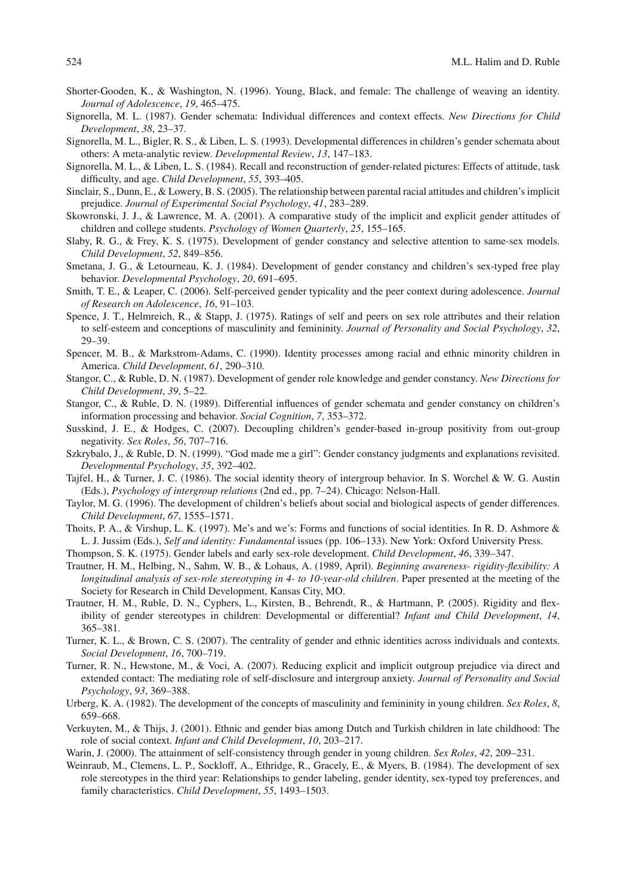- Shorter-Gooden, K., & Washington, N. (1996). Young, Black, and female: The challenge of weaving an identity. *Journal of Adolescence*, *19*, 465–475.
- <span id="page-29-21"></span>Signorella, M. L. (1987). Gender schemata: Individual differences and context effects. *New Directions for Child Development*, *38*, 23–37.
- <span id="page-29-22"></span>Signorella, M. L., Bigler, R. S., & Liben, L. S. (1993). Developmental differences in children's gender schemata about others: A meta-analytic review. *Developmental Review*, *13*, 147–183.
- <span id="page-29-23"></span>Signorella, M. L., & Liben, L. S. (1984). Recall and reconstruction of gender-related pictures: Effects of attitude, task difficulty, and age. *Child Development*, *55*, 393–405.
- <span id="page-29-12"></span>Sinclair, S., Dunn, E., & Lowery, B. S. (2005). The relationship between parental racial attitudes and children's implicit prejudice. *Journal of Experimental Social Psychology*, *41*, 283–289.
- <span id="page-29-6"></span>Skowronski, J. J., & Lawrence, M. A. (2001). A comparative study of the implicit and explicit gender attitudes of children and college students. *Psychology of Women Quarterly*, *25*, 155–165.
- <span id="page-29-8"></span>Slaby, R. G., & Frey, K. S. (1975). Development of gender constancy and selective attention to same-sex models. *Child Development*, *52*, 849–856.
- <span id="page-29-3"></span>Smetana, J. G., & Letourneau, K. J. (1984). Development of gender constancy and children's sex-typed free play behavior. *Developmental Psychology*, *20*, 691–695.
- <span id="page-29-5"></span>Smith, T. E., & Leaper, C. (2006). Self-perceived gender typicality and the peer context during adolescence. *Journal of Research on Adolescence*, *16*, 91–103.
- <span id="page-29-20"></span>Spence, J. T., Helmreich, R., & Stapp, J. (1975). Ratings of self and peers on sex role attributes and their relation to self-esteem and conceptions of masculinity and femininity. *Journal of Personality and Social Psychology*, *32*, 29–39.
- <span id="page-29-24"></span>Spencer, M. B., & Markstrom-Adams, C. (1990). Identity processes among racial and ethnic minority children in America. *Child Development*, *61*, 290–310.
- <span id="page-29-25"></span>Stangor, C., & Ruble, D. N. (1987). Development of gender role knowledge and gender constancy. *New Directions for Child Development*, *39*, 5–22.
- <span id="page-29-0"></span>Stangor, C., & Ruble, D. N. (1989). Differential influences of gender schemata and gender constancy on children's information processing and behavior. *Social Cognition*, *7*, 353–372.
- <span id="page-29-14"></span>Susskind, J. E., & Hodges, C. (2007). Decoupling children's gender-based in-group positivity from out-group negativity. *Sex Roles*, *56*, 707–716.
- <span id="page-29-26"></span>Szkrybalo, J., & Ruble, D. N. (1999). "God made me a girl": Gender constancy judgments and explanations revisited. *Developmental Psychology*, *35*, 392–402.
- <span id="page-29-4"></span>Tajfel, H., & Turner, J. C. (1986). The social identity theory of intergroup behavior. In S. Worchel & W. G. Austin (Eds.), *Psychology of intergroup relations* (2nd ed., pp. 7–24). Chicago: Nelson-Hall.
- <span id="page-29-1"></span>Taylor, M. G. (1996). The development of children's beliefs about social and biological aspects of gender differences. *Child Development*, *67*, 1555–1571.
- <span id="page-29-18"></span>Thoits, P. A., & Virshup, L. K. (1997). Me's and we's: Forms and functions of social identities. In R. D. Ashmore & L. J. Jussim (Eds.), *Self and identity: Fundamental* issues (pp. 106–133). New York: Oxford University Press.
- <span id="page-29-2"></span>Thompson, S. K. (1975). Gender labels and early sex-role development. *Child Development*, *46*, 339–347.
- <span id="page-29-16"></span>Trautner, H. M., Helbing, N., Sahm, W. B., & Lohaus, A. (1989, April). *Beginning awareness- rigidity-flexibility: A longitudinal analysis of sex-role stereotyping in 4- to 10-year-old children*. Paper presented at the meeting of the Society for Research in Child Development, Kansas City, MO.
- <span id="page-29-15"></span>Trautner, H. M., Ruble, D. N., Cyphers, L., Kirsten, B., Behrendt, R., & Hartmann, P. (2005). Rigidity and flexibility of gender stereotypes in children: Developmental or differential? *Infant and Child Development*, *14*, 365–381.
- <span id="page-29-11"></span>Turner, K. L., & Brown, C. S. (2007). The centrality of gender and ethnic identities across individuals and contexts. *Social Development*, *16*, 700–719.
- <span id="page-29-9"></span>Turner, R. N., Hewstone, M., & Voci, A. (2007). Reducing explicit and implicit outgroup prejudice via direct and extended contact: The mediating role of self-disclosure and intergroup anxiety. *Journal of Personality and Social Psychology*, *93*, 369–388.
- <span id="page-29-7"></span>Urberg, K. A. (1982). The development of the concepts of masculinity and femininity in young children. *Sex Roles*, *8*, 659–668.
- <span id="page-29-13"></span>Verkuyten, M., & Thijs, J. (2001). Ethnic and gender bias among Dutch and Turkish children in late childhood: The role of social context. *Infant and Child Development*, *10*, 203–217.
- <span id="page-29-10"></span>Warin, J. (2000). The attainment of self-consistency through gender in young children. *Sex Roles*, *42*, 209–231.
- <span id="page-29-19"></span><span id="page-29-17"></span>Weinraub, M., Clemens, L. P., Sockloff, A., Ethridge, R., Gracely, E., & Myers, B. (1984). The development of sex role stereotypes in the third year: Relationships to gender labeling, gender identity, sex-typed toy preferences, and family characteristics. *Child Development*, *55*, 1493–1503.